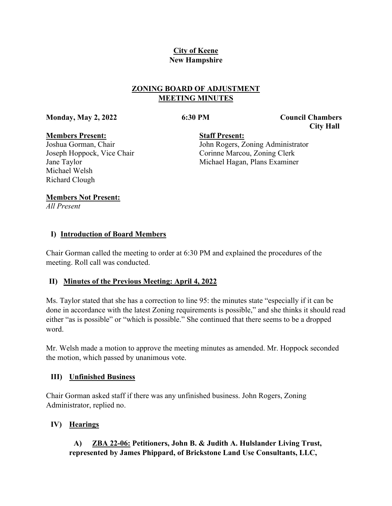# **City of Keene New Hampshire**

# **ZONING BOARD OF ADJUSTMENT MEETING MINUTES**

**Monday, May 2, 2022 6:30 PM Council Chambers**

 **City Hall**

#### **Members Present:**

Joshua Gorman, Chair Joseph Hoppock, Vice Chair Jane Taylor Michael Welsh Richard Clough

**Staff Present:** John Rogers, Zoning Administrator Corinne Marcou, Zoning Clerk Michael Hagan, Plans Examiner

## **Members Not Present:**

*All Present*

# **I) Introduction of Board Members**

Chair Gorman called the meeting to order at 6:30 PM and explained the procedures of the meeting. Roll call was conducted.

# **II) Minutes of the Previous Meeting: April 4, 2022**

Ms. Taylor stated that she has a correction to line 95: the minutes state "especially if it can be done in accordance with the latest Zoning requirements is possible," and she thinks it should read either "as is possible" or "which is possible." She continued that there seems to be a dropped word.

Mr. Welsh made a motion to approve the meeting minutes as amended. Mr. Hoppock seconded the motion, which passed by unanimous vote.

# **III) Unfinished Business**

Chair Gorman asked staff if there was any unfinished business. John Rogers, Zoning Administrator, replied no.

# **IV) Hearings**

# **A) ZBA 22-06: Petitioners, John B. & Judith A. Hulslander Living Trust, represented by James Phippard, of Brickstone Land Use Consultants, LLC,**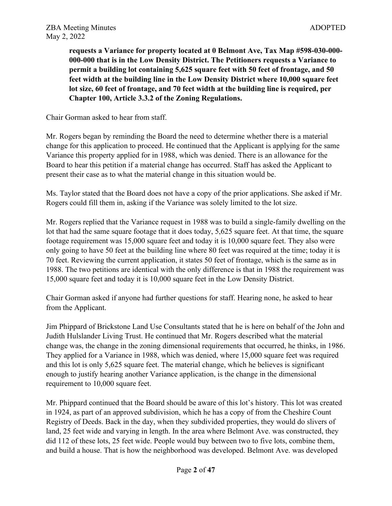**requests a Variance for property located at 0 Belmont Ave, Tax Map #598-030-000- 000-000 that is in the Low Density District. The Petitioners requests a Variance to permit a building lot containing 5,625 square feet with 50 feet of frontage, and 50 feet width at the building line in the Low Density District where 10,000 square feet lot size, 60 feet of frontage, and 70 feet width at the building line is required, per Chapter 100, Article 3.3.2 of the Zoning Regulations.**

Chair Gorman asked to hear from staff.

Mr. Rogers began by reminding the Board the need to determine whether there is a material change for this application to proceed. He continued that the Applicant is applying for the same Variance this property applied for in 1988, which was denied. There is an allowance for the Board to hear this petition if a material change has occurred. Staff has asked the Applicant to present their case as to what the material change in this situation would be.

Ms. Taylor stated that the Board does not have a copy of the prior applications. She asked if Mr. Rogers could fill them in, asking if the Variance was solely limited to the lot size.

Mr. Rogers replied that the Variance request in 1988 was to build a single-family dwelling on the lot that had the same square footage that it does today, 5,625 square feet. At that time, the square footage requirement was 15,000 square feet and today it is 10,000 square feet. They also were only going to have 50 feet at the building line where 80 feet was required at the time; today it is 70 feet. Reviewing the current application, it states 50 feet of frontage, which is the same as in 1988. The two petitions are identical with the only difference is that in 1988 the requirement was 15,000 square feet and today it is 10,000 square feet in the Low Density District.

Chair Gorman asked if anyone had further questions for staff. Hearing none, he asked to hear from the Applicant.

Jim Phippard of Brickstone Land Use Consultants stated that he is here on behalf of the John and Judith Hulslander Living Trust. He continued that Mr. Rogers described what the material change was, the change in the zoning dimensional requirements that occurred, he thinks, in 1986. They applied for a Variance in 1988, which was denied, where 15,000 square feet was required and this lot is only 5,625 square feet. The material change, which he believes is significant enough to justify hearing another Variance application, is the change in the dimensional requirement to 10,000 square feet.

Mr. Phippard continued that the Board should be aware of this lot's history. This lot was created in 1924, as part of an approved subdivision, which he has a copy of from the Cheshire Count Registry of Deeds. Back in the day, when they subdivided properties, they would do slivers of land, 25 feet wide and varying in length. In the area where Belmont Ave. was constructed, they did 112 of these lots, 25 feet wide. People would buy between two to five lots, combine them, and build a house. That is how the neighborhood was developed. Belmont Ave. was developed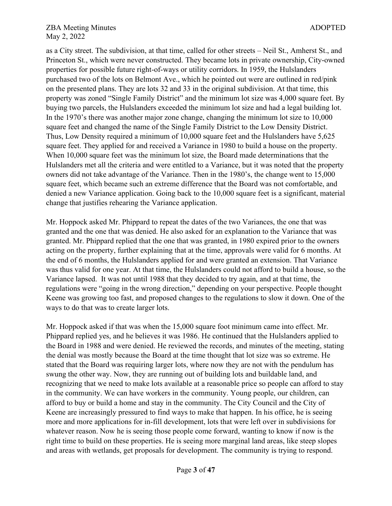as a City street. The subdivision, at that time, called for other streets – Neil St., Amherst St., and Princeton St., which were never constructed. They became lots in private ownership, City-owned properties for possible future right-of-ways or utility corridors. In 1959, the Hulslanders purchased two of the lots on Belmont Ave., which he pointed out were are outlined in red/pink on the presented plans. They are lots 32 and 33 in the original subdivision. At that time, this property was zoned "Single Family District" and the minimum lot size was 4,000 square feet. By buying two parcels, the Hulslanders exceeded the minimum lot size and had a legal building lot. In the 1970's there was another major zone change, changing the minimum lot size to 10,000 square feet and changed the name of the Single Family District to the Low Density District. Thus, Low Density required a minimum of 10,000 square feet and the Hulslanders have 5,625 square feet. They applied for and received a Variance in 1980 to build a house on the property. When 10,000 square feet was the minimum lot size, the Board made determinations that the Hulslanders met all the criteria and were entitled to a Variance, but it was noted that the property owners did not take advantage of the Variance. Then in the 1980's, the change went to 15,000 square feet, which became such an extreme difference that the Board was not comfortable, and denied a new Variance application. Going back to the 10,000 square feet is a significant, material change that justifies rehearing the Variance application.

Mr. Hoppock asked Mr. Phippard to repeat the dates of the two Variances, the one that was granted and the one that was denied. He also asked for an explanation to the Variance that was granted. Mr. Phippard replied that the one that was granted, in 1980 expired prior to the owners acting on the property, further explaining that at the time, approvals were valid for 6 months. At the end of 6 months, the Hulslanders applied for and were granted an extension. That Variance was thus valid for one year. At that time, the Hulslanders could not afford to build a house, so the Variance lapsed. It was not until 1988 that they decided to try again, and at that time, the regulations were "going in the wrong direction," depending on your perspective. People thought Keene was growing too fast, and proposed changes to the regulations to slow it down. One of the ways to do that was to create larger lots.

Mr. Hoppock asked if that was when the 15,000 square foot minimum came into effect. Mr. Phippard replied yes, and he believes it was 1986. He continued that the Hulslanders applied to the Board in 1988 and were denied. He reviewed the records, and minutes of the meeting, stating the denial was mostly because the Board at the time thought that lot size was so extreme. He stated that the Board was requiring larger lots, where now they are not with the pendulum has swung the other way. Now, they are running out of building lots and buildable land, and recognizing that we need to make lots available at a reasonable price so people can afford to stay in the community. We can have workers in the community. Young people, our children, can afford to buy or build a home and stay in the community. The City Council and the City of Keene are increasingly pressured to find ways to make that happen. In his office, he is seeing more and more applications for in-fill development, lots that were left over in subdivisions for whatever reason. Now he is seeing those people come forward, wanting to know if now is the right time to build on these properties. He is seeing more marginal land areas, like steep slopes and areas with wetlands, get proposals for development. The community is trying to respond.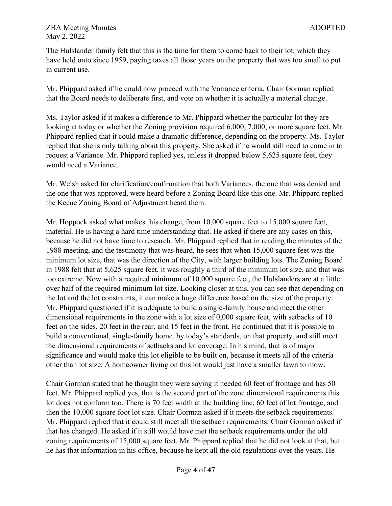The Hulslander family felt that this is the time for them to come back to their lot, which they have held onto since 1959, paying taxes all those years on the property that was too small to put in current use.

Mr. Phippard asked if he could now proceed with the Variance criteria. Chair Gorman replied that the Board needs to deliberate first, and vote on whether it is actually a material change.

Ms. Taylor asked if it makes a difference to Mr. Phippard whether the particular lot they are looking at today or whether the Zoning provision required 6,000, 7,000, or more square feet. Mr. Phippard replied that it could make a dramatic difference, depending on the property. Ms. Taylor replied that she is only talking about this property. She asked if he would still need to come in to request a Variance. Mr. Phippard replied yes, unless it dropped below 5,625 square feet, they would need a Variance.

Mr. Welsh asked for clarification/confirmation that both Variances, the one that was denied and the one that was approved, were heard before a Zoning Board like this one. Mr. Phippard replied the Keene Zoning Board of Adjustment heard them.

Mr. Hoppock asked what makes this change, from 10,000 square feet to 15,000 square feet, material. He is having a hard time understanding that. He asked if there are any cases on this, because he did not have time to research. Mr. Phippard replied that in reading the minutes of the 1988 meeting, and the testimony that was heard, he sees that when 15,000 square feet was the minimum lot size, that was the direction of the City, with larger building lots. The Zoning Board in 1988 felt that at 5,625 square feet, it was roughly a third of the minimum lot size, and that was too extreme. Now with a required minimum of 10,000 square feet, the Hulslanders are at a little over half of the required minimum lot size. Looking closer at this, you can see that depending on the lot and the lot constraints, it can make a huge difference based on the size of the property. Mr. Phippard questioned if it is adequate to build a single-family house and meet the other dimensional requirements in the zone with a lot size of 0,000 square feet, with setbacks of 10 feet on the sides, 20 feet in the rear, and 15 feet in the front. He continued that it is possible to build a conventional, single-family home, by today's standards, on that property, and still meet the dimensional requirements of setbacks and lot coverage. In his mind, that is of major significance and would make this lot eligible to be built on, because it meets all of the criteria other than lot size. A homeowner living on this lot would just have a smaller lawn to mow.

Chair Gorman stated that he thought they were saying it needed 60 feet of frontage and has 50 feet. Mr. Phippard replied yes, that is the second part of the zone dimensional requirements this lot does not conform too. There is 70 feet width at the building line, 60 feet of lot frontage, and then the 10,000 square foot lot size. Chair Gorman asked if it meets the setback requirements. Mr. Phippard replied that it could still meet all the setback requirements. Chair Gorman asked if that has changed. He asked if it still would have met the setback requirements under the old zoning requirements of 15,000 square feet. Mr. Phippard replied that he did not look at that, but he has that information in his office, because he kept all the old regulations over the years. He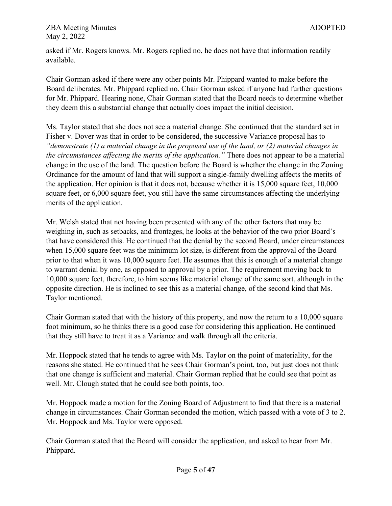asked if Mr. Rogers knows. Mr. Rogers replied no, he does not have that information readily available.

Chair Gorman asked if there were any other points Mr. Phippard wanted to make before the Board deliberates. Mr. Phippard replied no. Chair Gorman asked if anyone had further questions for Mr. Phippard. Hearing none, Chair Gorman stated that the Board needs to determine whether they deem this a substantial change that actually does impact the initial decision.

Ms. Taylor stated that she does not see a material change. She continued that the standard set in Fisher v. Dover was that in order to be considered, the successive Variance proposal has to *"demonstrate (1) a material change in the proposed use of the land, or (2) material changes in the circumstances affecting the merits of the application."* There does not appear to be a material change in the use of the land. The question before the Board is whether the change in the Zoning Ordinance for the amount of land that will support a single-family dwelling affects the merits of the application. Her opinion is that it does not, because whether it is 15,000 square feet, 10,000 square feet, or 6,000 square feet, you still have the same circumstances affecting the underlying merits of the application.

Mr. Welsh stated that not having been presented with any of the other factors that may be weighing in, such as setbacks, and frontages, he looks at the behavior of the two prior Board's that have considered this. He continued that the denial by the second Board, under circumstances when 15,000 square feet was the minimum lot size, is different from the approval of the Board prior to that when it was 10,000 square feet. He assumes that this is enough of a material change to warrant denial by one, as opposed to approval by a prior. The requirement moving back to 10,000 square feet, therefore, to him seems like material change of the same sort, although in the opposite direction. He is inclined to see this as a material change, of the second kind that Ms. Taylor mentioned.

Chair Gorman stated that with the history of this property, and now the return to a 10,000 square foot minimum, so he thinks there is a good case for considering this application. He continued that they still have to treat it as a Variance and walk through all the criteria.

Mr. Hoppock stated that he tends to agree with Ms. Taylor on the point of materiality, for the reasons she stated. He continued that he sees Chair Gorman's point, too, but just does not think that one change is sufficient and material. Chair Gorman replied that he could see that point as well. Mr. Clough stated that he could see both points, too.

Mr. Hoppock made a motion for the Zoning Board of Adjustment to find that there is a material change in circumstances. Chair Gorman seconded the motion, which passed with a vote of 3 to 2. Mr. Hoppock and Ms. Taylor were opposed.

Chair Gorman stated that the Board will consider the application, and asked to hear from Mr. Phippard.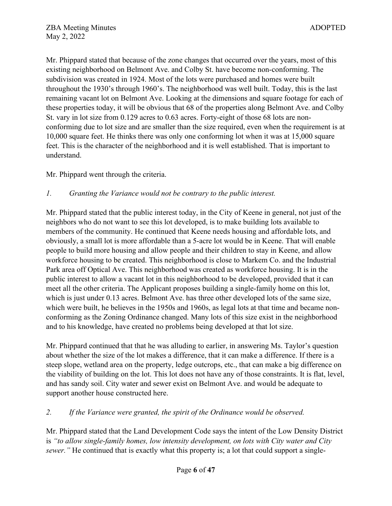Mr. Phippard stated that because of the zone changes that occurred over the years, most of this existing neighborhood on Belmont Ave. and Colby St. have become non-conforming. The subdivision was created in 1924. Most of the lots were purchased and homes were built throughout the 1930's through 1960's. The neighborhood was well built. Today, this is the last remaining vacant lot on Belmont Ave. Looking at the dimensions and square footage for each of these properties today, it will be obvious that 68 of the properties along Belmont Ave. and Colby St. vary in lot size from 0.129 acres to 0.63 acres. Forty-eight of those 68 lots are nonconforming due to lot size and are smaller than the size required, even when the requirement is at 10,000 square feet. He thinks there was only one conforming lot when it was at 15,000 square feet. This is the character of the neighborhood and it is well established. That is important to understand.

Mr. Phippard went through the criteria.

## *1. Granting the Variance would not be contrary to the public interest.*

Mr. Phippard stated that the public interest today, in the City of Keene in general, not just of the neighbors who do not want to see this lot developed, is to make building lots available to members of the community. He continued that Keene needs housing and affordable lots, and obviously, a small lot is more affordable than a 5-acre lot would be in Keene. That will enable people to build more housing and allow people and their children to stay in Keene, and allow workforce housing to be created. This neighborhood is close to Markem Co. and the Industrial Park area off Optical Ave. This neighborhood was created as workforce housing. It is in the public interest to allow a vacant lot in this neighborhood to be developed, provided that it can meet all the other criteria. The Applicant proposes building a single-family home on this lot, which is just under 0.13 acres. Belmont Ave. has three other developed lots of the same size, which were built, he believes in the 1950s and 1960s, as legal lots at that time and became nonconforming as the Zoning Ordinance changed. Many lots of this size exist in the neighborhood and to his knowledge, have created no problems being developed at that lot size.

Mr. Phippard continued that that he was alluding to earlier, in answering Ms. Taylor's question about whether the size of the lot makes a difference, that it can make a difference. If there is a steep slope, wetland area on the property, ledge outcrops, etc., that can make a big difference on the viability of building on the lot. This lot does not have any of those constraints. It is flat, level, and has sandy soil. City water and sewer exist on Belmont Ave. and would be adequate to support another house constructed here.

## *2. If the Variance were granted, the spirit of the Ordinance would be observed.*

Mr. Phippard stated that the Land Development Code says the intent of the Low Density District is *"to allow single-family homes, low intensity development, on lots with City water and City sewer.*" He continued that is exactly what this property is; a lot that could support a single-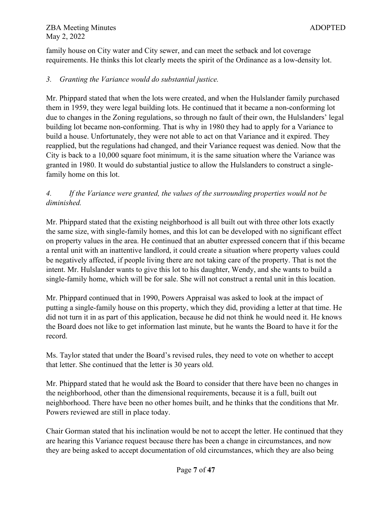family house on City water and City sewer, and can meet the setback and lot coverage requirements. He thinks this lot clearly meets the spirit of the Ordinance as a low-density lot.

## *3. Granting the Variance would do substantial justice.*

Mr. Phippard stated that when the lots were created, and when the Hulslander family purchased them in 1959, they were legal building lots. He continued that it became a non-conforming lot due to changes in the Zoning regulations, so through no fault of their own, the Hulslanders' legal building lot became non-conforming. That is why in 1980 they had to apply for a Variance to build a house. Unfortunately, they were not able to act on that Variance and it expired. They reapplied, but the regulations had changed, and their Variance request was denied. Now that the City is back to a 10,000 square foot minimum, it is the same situation where the Variance was granted in 1980. It would do substantial justice to allow the Hulslanders to construct a singlefamily home on this lot.

# *4. If the Variance were granted, the values of the surrounding properties would not be diminished.*

Mr. Phippard stated that the existing neighborhood is all built out with three other lots exactly the same size, with single-family homes, and this lot can be developed with no significant effect on property values in the area. He continued that an abutter expressed concern that if this became a rental unit with an inattentive landlord, it could create a situation where property values could be negatively affected, if people living there are not taking care of the property. That is not the intent. Mr. Hulslander wants to give this lot to his daughter, Wendy, and she wants to build a single-family home, which will be for sale. She will not construct a rental unit in this location.

Mr. Phippard continued that in 1990, Powers Appraisal was asked to look at the impact of putting a single-family house on this property, which they did, providing a letter at that time. He did not turn it in as part of this application, because he did not think he would need it. He knows the Board does not like to get information last minute, but he wants the Board to have it for the record.

Ms. Taylor stated that under the Board's revised rules, they need to vote on whether to accept that letter. She continued that the letter is 30 years old.

Mr. Phippard stated that he would ask the Board to consider that there have been no changes in the neighborhood, other than the dimensional requirements, because it is a full, built out neighborhood. There have been no other homes built, and he thinks that the conditions that Mr. Powers reviewed are still in place today.

Chair Gorman stated that his inclination would be not to accept the letter. He continued that they are hearing this Variance request because there has been a change in circumstances, and now they are being asked to accept documentation of old circumstances, which they are also being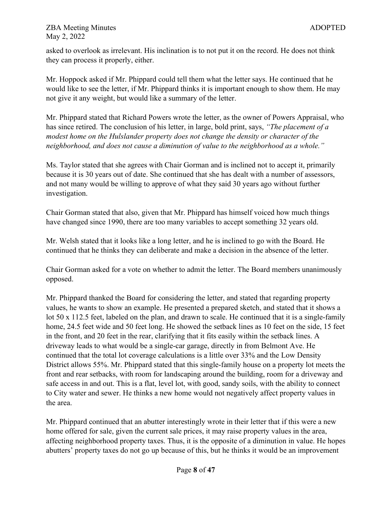asked to overlook as irrelevant. His inclination is to not put it on the record. He does not think they can process it properly, either.

Mr. Hoppock asked if Mr. Phippard could tell them what the letter says. He continued that he would like to see the letter, if Mr. Phippard thinks it is important enough to show them. He may not give it any weight, but would like a summary of the letter.

Mr. Phippard stated that Richard Powers wrote the letter, as the owner of Powers Appraisal, who has since retired. The conclusion of his letter, in large, bold print, says, *"The placement of a modest home on the Hulslander property does not change the density or character of the neighborhood, and does not cause a diminution of value to the neighborhood as a whole."*

Ms. Taylor stated that she agrees with Chair Gorman and is inclined not to accept it, primarily because it is 30 years out of date. She continued that she has dealt with a number of assessors, and not many would be willing to approve of what they said 30 years ago without further investigation.

Chair Gorman stated that also, given that Mr. Phippard has himself voiced how much things have changed since 1990, there are too many variables to accept something 32 years old.

Mr. Welsh stated that it looks like a long letter, and he is inclined to go with the Board. He continued that he thinks they can deliberate and make a decision in the absence of the letter.

Chair Gorman asked for a vote on whether to admit the letter. The Board members unanimously opposed.

Mr. Phippard thanked the Board for considering the letter, and stated that regarding property values, he wants to show an example. He presented a prepared sketch, and stated that it shows a lot 50 x 112.5 feet, labeled on the plan, and drawn to scale. He continued that it is a single-family home, 24.5 feet wide and 50 feet long. He showed the setback lines as 10 feet on the side, 15 feet in the front, and 20 feet in the rear, clarifying that it fits easily within the setback lines. A driveway leads to what would be a single-car garage, directly in from Belmont Ave. He continued that the total lot coverage calculations is a little over 33% and the Low Density District allows 55%. Mr. Phippard stated that this single-family house on a property lot meets the front and rear setbacks, with room for landscaping around the building, room for a driveway and safe access in and out. This is a flat, level lot, with good, sandy soils, with the ability to connect to City water and sewer. He thinks a new home would not negatively affect property values in the area.

Mr. Phippard continued that an abutter interestingly wrote in their letter that if this were a new home offered for sale, given the current sale prices, it may raise property values in the area, affecting neighborhood property taxes. Thus, it is the opposite of a diminution in value. He hopes abutters' property taxes do not go up because of this, but he thinks it would be an improvement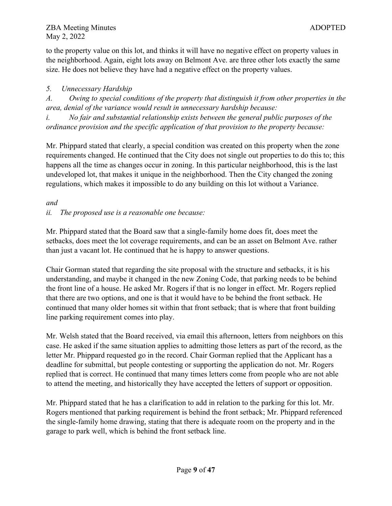to the property value on this lot, and thinks it will have no negative effect on property values in the neighborhood. Again, eight lots away on Belmont Ave. are three other lots exactly the same size. He does not believe they have had a negative effect on the property values.

## *5. Unnecessary Hardship*

*A. Owing to special conditions of the property that distinguish it from other properties in the area, denial of the variance would result in unnecessary hardship because:*

*i. No fair and substantial relationship exists between the general public purposes of the ordinance provision and the specific application of that provision to the property because:* 

Mr. Phippard stated that clearly, a special condition was created on this property when the zone requirements changed. He continued that the City does not single out properties to do this to; this happens all the time as changes occur in zoning. In this particular neighborhood, this is the last undeveloped lot, that makes it unique in the neighborhood. Then the City changed the zoning regulations, which makes it impossible to do any building on this lot without a Variance.

## *and*

*ii. The proposed use is a reasonable one because:* 

Mr. Phippard stated that the Board saw that a single-family home does fit, does meet the setbacks, does meet the lot coverage requirements, and can be an asset on Belmont Ave. rather than just a vacant lot. He continued that he is happy to answer questions.

Chair Gorman stated that regarding the site proposal with the structure and setbacks, it is his understanding, and maybe it changed in the new Zoning Code, that parking needs to be behind the front line of a house. He asked Mr. Rogers if that is no longer in effect. Mr. Rogers replied that there are two options, and one is that it would have to be behind the front setback. He continued that many older homes sit within that front setback; that is where that front building line parking requirement comes into play.

Mr. Welsh stated that the Board received, via email this afternoon, letters from neighbors on this case. He asked if the same situation applies to admitting those letters as part of the record, as the letter Mr. Phippard requested go in the record. Chair Gorman replied that the Applicant has a deadline for submittal, but people contesting or supporting the application do not. Mr. Rogers replied that is correct. He continued that many times letters come from people who are not able to attend the meeting, and historically they have accepted the letters of support or opposition.

Mr. Phippard stated that he has a clarification to add in relation to the parking for this lot. Mr. Rogers mentioned that parking requirement is behind the front setback; Mr. Phippard referenced the single-family home drawing, stating that there is adequate room on the property and in the garage to park well, which is behind the front setback line.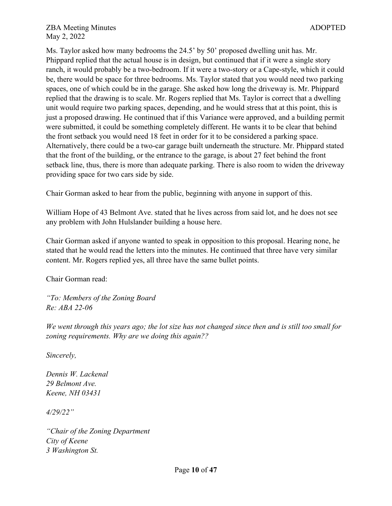Ms. Taylor asked how many bedrooms the 24.5' by 50' proposed dwelling unit has. Mr. Phippard replied that the actual house is in design, but continued that if it were a single story ranch, it would probably be a two-bedroom. If it were a two-story or a Cape-style, which it could be, there would be space for three bedrooms. Ms. Taylor stated that you would need two parking spaces, one of which could be in the garage. She asked how long the driveway is. Mr. Phippard replied that the drawing is to scale. Mr. Rogers replied that Ms. Taylor is correct that a dwelling unit would require two parking spaces, depending, and he would stress that at this point, this is just a proposed drawing. He continued that if this Variance were approved, and a building permit were submitted, it could be something completely different. He wants it to be clear that behind the front setback you would need 18 feet in order for it to be considered a parking space. Alternatively, there could be a two-car garage built underneath the structure. Mr. Phippard stated that the front of the building, or the entrance to the garage, is about 27 feet behind the front setback line, thus, there is more than adequate parking. There is also room to widen the driveway providing space for two cars side by side.

Chair Gorman asked to hear from the public, beginning with anyone in support of this.

William Hope of 43 Belmont Ave. stated that he lives across from said lot, and he does not see any problem with John Hulslander building a house here.

Chair Gorman asked if anyone wanted to speak in opposition to this proposal. Hearing none, he stated that he would read the letters into the minutes. He continued that three have very similar content. Mr. Rogers replied yes, all three have the same bullet points.

Chair Gorman read:

*"To: Members of the Zoning Board Re: ABA 22-06*

*We went through this years ago; the lot size has not changed since then and is still too small for zoning requirements. Why are we doing this again??*

*Sincerely,*

*Dennis W. Lackenal 29 Belmont Ave. Keene, NH 03431*

*4/29/22"*

*"Chair of the Zoning Department City of Keene 3 Washington St.*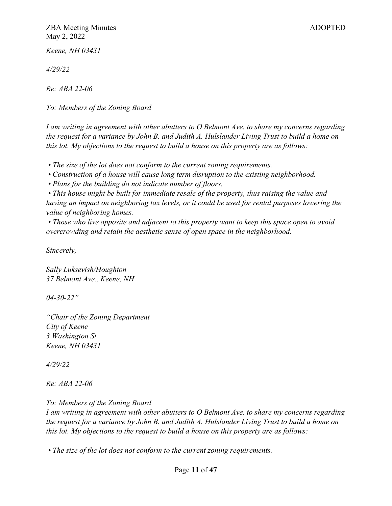*Keene, NH 03431* 

*4/29/22* 

*Re: ABA 22-06* 

*To: Members of the Zoning Board*

*I am writing in agreement with other abutters to O Belmont Ave. to share my concerns regarding the request for a variance by John B. and Judith A. Hulslander Living Trust to build a home on this lot. My objections to the request to build a house on this property are as follows:*

*• The size of the lot does not conform to the current zoning requirements.*

*• Construction of a house will cause long term disruption to the existing neighborhood.*

*• Plans for the building do not indicate number of floors.*

*• This house might be built for immediate resale of the property, thus raising the value and having an impact on neighboring tax levels, or it could be used for rental purposes lowering the value of neighboring homes.*

*• Those who live opposite and adjacent to this property want to keep this space open to avoid overcrowding and retain the aesthetic sense of open space in the neighborhood.* 

*Sincerely,*

*Sally Luksevish/Houghton 37 Belmont Ave., Keene, NH*

*04-30-22"*

*"Chair of the Zoning Department City of Keene 3 Washington St. Keene, NH 03431* 

*4/29/22* 

*Re: ABA 22-06* 

*To: Members of the Zoning Board*

*I am writing in agreement with other abutters to O Belmont Ave. to share my concerns regarding the request for a variance by John B. and Judith A. Hulslander Living Trust to build a home on this lot. My objections to the request to build a house on this property are as follows:*

*• The size of the lot does not conform to the current zoning requirements.*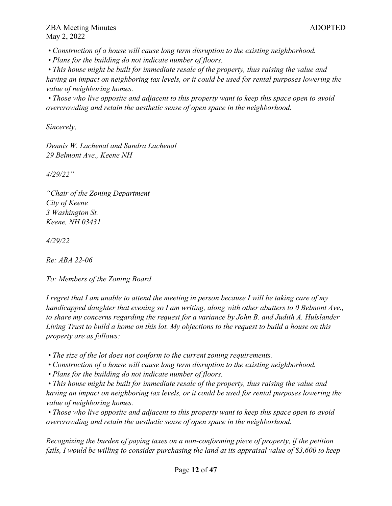*• Construction of a house will cause long term disruption to the existing neighborhood.*

*• Plans for the building do not indicate number of floors.*

*• This house might be built for immediate resale of the property, thus raising the value and having an impact on neighboring tax levels, or it could be used for rental purposes lowering the value of neighboring homes.*

*• Those who live opposite and adjacent to this property want to keep this space open to avoid overcrowding and retain the aesthetic sense of open space in the neighborhood.* 

*Sincerely,*

*Dennis W. Lachenal and Sandra Lachenal 29 Belmont Ave., Keene NH*

*4/29/22"*

*"Chair of the Zoning Department City of Keene 3 Washington St. Keene, NH 03431* 

*4/29/22* 

*Re: ABA 22-06* 

*To: Members of the Zoning Board*

*I regret that I am unable to attend the meeting in person because I will be taking care of my handicapped daughter that evening so I am writing, along with other abutters to 0 Belmont Ave., to share my concerns regarding the request for a variance by John B. and Judith A. Hulslander Living Trust to build a home on this lot. My objections to the request to build a house on this property are as follows:*

- *The size of the lot does not conform to the current zoning requirements.*
- *Construction of a house will cause long term disruption to the existing neighborhood.*
- *Plans for the building do not indicate number of floors.*

*• This house might be built for immediate resale of the property, thus raising the value and having an impact on neighboring tax levels, or it could be used for rental purposes lowering the value of neighboring homes.*

*• Those who live opposite and adjacent to this property want to keep this space open to avoid overcrowding and retain the aesthetic sense of open space in the neighborhood.* 

*Recognizing the burden of paying taxes on a non-conforming piece of property, if the petition fails, I would be willing to consider purchasing the land at its appraisal value of \$3,600 to keep*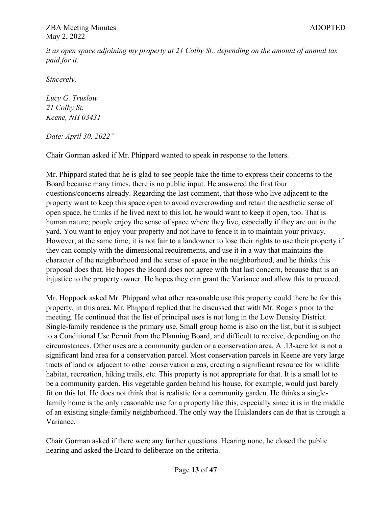*it as open space adjoining my property at 21 Colby St., depending on the amount of annual tax paid for it.* 

*Sincerely,*

*Lucy G. Truslow 21 Colby St. Keene, NH 03431*

*Date: April 30, 2022"*

Chair Gorman asked if Mr. Phippard wanted to speak in response to the letters.

Mr. Phippard stated that he is glad to see people take the time to express their concerns to the Board because many times, there is no public input. He answered the first four questions/concerns already. Regarding the last comment, that those who live adjacent to the property want to keep this space open to avoid overcrowding and retain the aesthetic sense of open space, he thinks if he lived next to this lot, he would want to keep it open, too. That is human nature; people enjoy the sense of space where they live, especially if they are out in the yard. You want to enjoy your property and not have to fence it in to maintain your privacy. However, at the same time, it is not fair to a landowner to lose their rights to use their property if they can comply with the dimensional requirements, and use it in a way that maintains the character of the neighborhood and the sense of space in the neighborhood, and he thinks this proposal does that. He hopes the Board does not agree with that last concern, because that is an injustice to the property owner. He hopes they can grant the Variance and allow this to proceed.

Mr. Hoppock asked Mr. Phippard what other reasonable use this property could there be for this property, in this area. Mr. Phippard replied that he discussed that with Mr. Rogers prior to the meeting. He continued that the list of principal uses is not long in the Low Density District. Single-family residence is the primary use. Small group home is also on the list, but it is subject to a Conditional Use Permit from the Planning Board, and difficult to receive, depending on the circumstances. Other uses are a community garden or a conservation area. A .13-acre lot is not a significant land area for a conservation parcel. Most conservation parcels in Keene are very large tracts of land or adjacent to other conservation areas, creating a significant resource for wildlife habitat, recreation, hiking trails, etc. This property is not appropriate for that. It is a small lot to be a community garden. His vegetable garden behind his house, for example, would just barely fit on this lot. He does not think that is realistic for a community garden. He thinks a singlefamily home is the only reasonable use for a property like this, especially since it is in the middle of an existing single-family neighborhood. The only way the Hulslanders can do that is through a Variance.

Chair Gorman asked if there were any further questions. Hearing none, he closed the public hearing and asked the Board to deliberate on the criteria.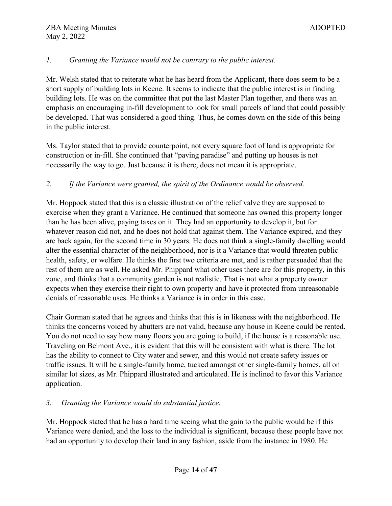## *1. Granting the Variance would not be contrary to the public interest.*

Mr. Welsh stated that to reiterate what he has heard from the Applicant, there does seem to be a short supply of building lots in Keene. It seems to indicate that the public interest is in finding building lots. He was on the committee that put the last Master Plan together, and there was an emphasis on encouraging in-fill development to look for small parcels of land that could possibly be developed. That was considered a good thing. Thus, he comes down on the side of this being in the public interest.

Ms. Taylor stated that to provide counterpoint, not every square foot of land is appropriate for construction or in-fill. She continued that "paving paradise" and putting up houses is not necessarily the way to go. Just because it is there, does not mean it is appropriate.

## *2. If the Variance were granted, the spirit of the Ordinance would be observed.*

Mr. Hoppock stated that this is a classic illustration of the relief valve they are supposed to exercise when they grant a Variance. He continued that someone has owned this property longer than he has been alive, paying taxes on it. They had an opportunity to develop it, but for whatever reason did not, and he does not hold that against them. The Variance expired, and they are back again, for the second time in 30 years. He does not think a single-family dwelling would alter the essential character of the neighborhood, nor is it a Variance that would threaten public health, safety, or welfare. He thinks the first two criteria are met, and is rather persuaded that the rest of them are as well. He asked Mr. Phippard what other uses there are for this property, in this zone, and thinks that a community garden is not realistic. That is not what a property owner expects when they exercise their right to own property and have it protected from unreasonable denials of reasonable uses. He thinks a Variance is in order in this case.

Chair Gorman stated that he agrees and thinks that this is in likeness with the neighborhood. He thinks the concerns voiced by abutters are not valid, because any house in Keene could be rented. You do not need to say how many floors you are going to build, if the house is a reasonable use. Traveling on Belmont Ave., it is evident that this will be consistent with what is there. The lot has the ability to connect to City water and sewer, and this would not create safety issues or traffic issues. It will be a single-family home, tucked amongst other single-family homes, all on similar lot sizes, as Mr. Phippard illustrated and articulated. He is inclined to favor this Variance application.

## *3. Granting the Variance would do substantial justice.*

Mr. Hoppock stated that he has a hard time seeing what the gain to the public would be if this Variance were denied, and the loss to the individual is significant, because these people have not had an opportunity to develop their land in any fashion, aside from the instance in 1980. He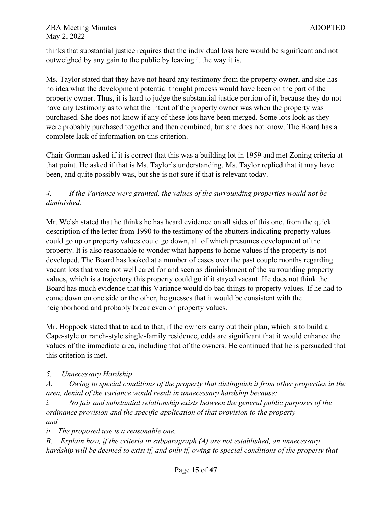thinks that substantial justice requires that the individual loss here would be significant and not outweighed by any gain to the public by leaving it the way it is.

Ms. Taylor stated that they have not heard any testimony from the property owner, and she has no idea what the development potential thought process would have been on the part of the property owner. Thus, it is hard to judge the substantial justice portion of it, because they do not have any testimony as to what the intent of the property owner was when the property was purchased. She does not know if any of these lots have been merged. Some lots look as they were probably purchased together and then combined, but she does not know. The Board has a complete lack of information on this criterion.

Chair Gorman asked if it is correct that this was a building lot in 1959 and met Zoning criteria at that point. He asked if that is Ms. Taylor's understanding. Ms. Taylor replied that it may have been, and quite possibly was, but she is not sure if that is relevant today.

# *4. If the Variance were granted, the values of the surrounding properties would not be diminished.*

Mr. Welsh stated that he thinks he has heard evidence on all sides of this one, from the quick description of the letter from 1990 to the testimony of the abutters indicating property values could go up or property values could go down, all of which presumes development of the property. It is also reasonable to wonder what happens to home values if the property is not developed. The Board has looked at a number of cases over the past couple months regarding vacant lots that were not well cared for and seen as diminishment of the surrounding property values, which is a trajectory this property could go if it stayed vacant. He does not think the Board has much evidence that this Variance would do bad things to property values. If he had to come down on one side or the other, he guesses that it would be consistent with the neighborhood and probably break even on property values.

Mr. Hoppock stated that to add to that, if the owners carry out their plan, which is to build a Cape-style or ranch-style single-family residence, odds are significant that it would enhance the values of the immediate area, including that of the owners. He continued that he is persuaded that this criterion is met.

## *5. Unnecessary Hardship*

*A. Owing to special conditions of the property that distinguish it from other properties in the area, denial of the variance would result in unnecessary hardship because:*

*i. No fair and substantial relationship exists between the general public purposes of the ordinance provision and the specific application of that provision to the property and*

*ii. The proposed use is a reasonable one.*

*B. Explain how, if the criteria in subparagraph (A) are not established, an unnecessary hardship will be deemed to exist if, and only if, owing to special conditions of the property that*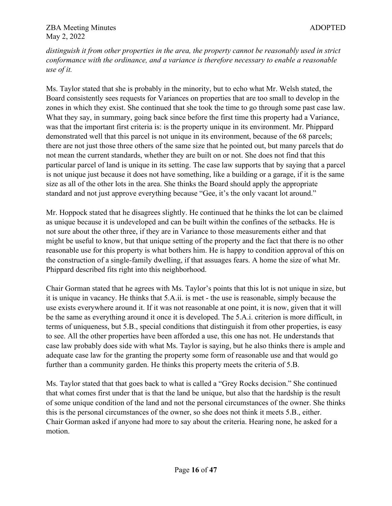*distinguish it from other properties in the area, the property cannot be reasonably used in strict conformance with the ordinance, and a variance is therefore necessary to enable a reasonable use of it.* 

Ms. Taylor stated that she is probably in the minority, but to echo what Mr. Welsh stated, the Board consistently sees requests for Variances on properties that are too small to develop in the zones in which they exist. She continued that she took the time to go through some past case law. What they say, in summary, going back since before the first time this property had a Variance, was that the important first criteria is: is the property unique in its environment. Mr. Phippard demonstrated well that this parcel is not unique in its environment, because of the 68 parcels; there are not just those three others of the same size that he pointed out, but many parcels that do not mean the current standards, whether they are built on or not. She does not find that this particular parcel of land is unique in its setting. The case law supports that by saying that a parcel is not unique just because it does not have something, like a building or a garage, if it is the same size as all of the other lots in the area. She thinks the Board should apply the appropriate standard and not just approve everything because "Gee, it's the only vacant lot around."

Mr. Hoppock stated that he disagrees slightly. He continued that he thinks the lot can be claimed as unique because it is undeveloped and can be built within the confines of the setbacks. He is not sure about the other three, if they are in Variance to those measurements either and that might be useful to know, but that unique setting of the property and the fact that there is no other reasonable use for this property is what bothers him. He is happy to condition approval of this on the construction of a single-family dwelling, if that assuages fears. A home the size of what Mr. Phippard described fits right into this neighborhood.

Chair Gorman stated that he agrees with Ms. Taylor's points that this lot is not unique in size, but it is unique in vacancy. He thinks that 5.A.ii. is met - the use is reasonable, simply because the use exists everywhere around it. If it was not reasonable at one point, it is now, given that it will be the same as everything around it once it is developed. The 5.A.i. criterion is more difficult, in terms of uniqueness, but 5.B., special conditions that distinguish it from other properties, is easy to see. All the other properties have been afforded a use, this one has not. He understands that case law probably does side with what Ms. Taylor is saying, but he also thinks there is ample and adequate case law for the granting the property some form of reasonable use and that would go further than a community garden. He thinks this property meets the criteria of 5.B.

Ms. Taylor stated that that goes back to what is called a "Grey Rocks decision." She continued that what comes first under that is that the land be unique, but also that the hardship is the result of some unique condition of the land and not the personal circumstances of the owner. She thinks this is the personal circumstances of the owner, so she does not think it meets 5.B., either. Chair Gorman asked if anyone had more to say about the criteria. Hearing none, he asked for a motion.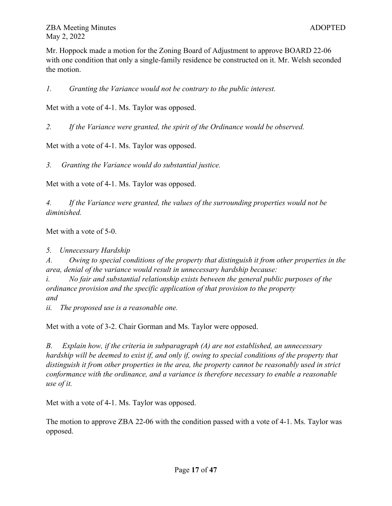Mr. Hoppock made a motion for the Zoning Board of Adjustment to approve BOARD 22-06 with one condition that only a single-family residence be constructed on it. Mr. Welsh seconded the motion.

*1. Granting the Variance would not be contrary to the public interest.*

Met with a vote of 4-1. Ms. Taylor was opposed.

*2. If the Variance were granted, the spirit of the Ordinance would be observed.*

Met with a vote of 4-1. Ms. Taylor was opposed.

*3. Granting the Variance would do substantial justice.*

Met with a vote of 4-1. Ms. Taylor was opposed.

*4. If the Variance were granted, the values of the surrounding properties would not be diminished.*

Met with a vote of 5-0.

*5. Unnecessary Hardship* 

*A. Owing to special conditions of the property that distinguish it from other properties in the area, denial of the variance would result in unnecessary hardship because:*

*i. No fair and substantial relationship exists between the general public purposes of the ordinance provision and the specific application of that provision to the property and*

*ii. The proposed use is a reasonable one.*

Met with a vote of 3-2. Chair Gorman and Ms. Taylor were opposed.

*B. Explain how, if the criteria in subparagraph (A) are not established, an unnecessary hardship will be deemed to exist if, and only if, owing to special conditions of the property that distinguish it from other properties in the area, the property cannot be reasonably used in strict conformance with the ordinance, and a variance is therefore necessary to enable a reasonable use of it.*

Met with a vote of 4-1. Ms. Taylor was opposed.

The motion to approve ZBA 22-06 with the condition passed with a vote of 4-1. Ms. Taylor was opposed.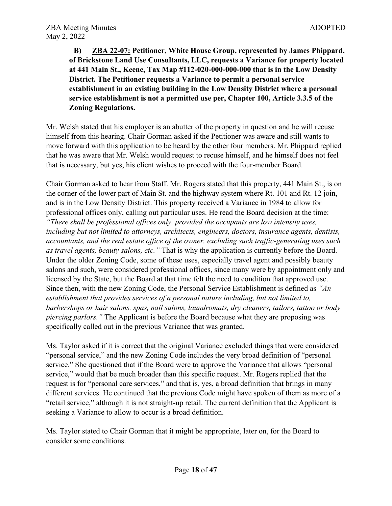**B) ZBA 22-07: Petitioner, White House Group, represented by James Phippard, of Brickstone Land Use Consultants, LLC, requests a Variance for property located at 441 Main St., Keene, Tax Map #112-020-000-000-000 that is in the Low Density District. The Petitioner requests a Variance to permit a personal service establishment in an existing building in the Low Density District where a personal service establishment is not a permitted use per, Chapter 100, Article 3.3.5 of the Zoning Regulations.**

Mr. Welsh stated that his employer is an abutter of the property in question and he will recuse himself from this hearing. Chair Gorman asked if the Petitioner was aware and still wants to move forward with this application to be heard by the other four members. Mr. Phippard replied that he was aware that Mr. Welsh would request to recuse himself, and he himself does not feel that is necessary, but yes, his client wishes to proceed with the four-member Board.

Chair Gorman asked to hear from Staff. Mr. Rogers stated that this property, 441 Main St., is on the corner of the lower part of Main St. and the highway system where Rt. 101 and Rt. 12 join, and is in the Low Density District. This property received a Variance in 1984 to allow for professional offices only, calling out particular uses. He read the Board decision at the time: *"There shall be professional offices only, provided the occupants are low intensity uses, including but not limited to attorneys, architects, engineers, doctors, insurance agents, dentists, accountants, and the real estate office of the owner, excluding such traffic-generating uses such as travel agents, beauty salons, etc."* That is why the application is currently before the Board. Under the older Zoning Code, some of these uses, especially travel agent and possibly beauty salons and such, were considered professional offices, since many were by appointment only and licensed by the State, but the Board at that time felt the need to condition that approved use. Since then, with the new Zoning Code, the Personal Service Establishment is defined as *"An establishment that provides services of a personal nature including, but not limited to, barbershops or hair salons, spas, nail salons, laundromats, dry cleaners, tailors, tattoo or body piercing parlors."* The Applicant is before the Board because what they are proposing was specifically called out in the previous Variance that was granted.

Ms. Taylor asked if it is correct that the original Variance excluded things that were considered "personal service," and the new Zoning Code includes the very broad definition of "personal service." She questioned that if the Board were to approve the Variance that allows "personal service," would that be much broader than this specific request. Mr. Rogers replied that the request is for "personal care services," and that is, yes, a broad definition that brings in many different services. He continued that the previous Code might have spoken of them as more of a "retail service," although it is not straight-up retail. The current definition that the Applicant is seeking a Variance to allow to occur is a broad definition.

Ms. Taylor stated to Chair Gorman that it might be appropriate, later on, for the Board to consider some conditions.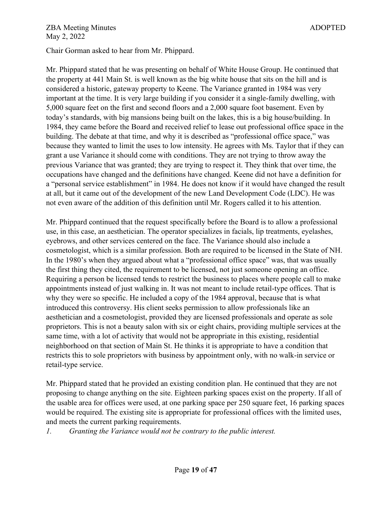Chair Gorman asked to hear from Mr. Phippard.

Mr. Phippard stated that he was presenting on behalf of White House Group. He continued that the property at 441 Main St. is well known as the big white house that sits on the hill and is considered a historic, gateway property to Keene. The Variance granted in 1984 was very important at the time. It is very large building if you consider it a single-family dwelling, with 5,000 square feet on the first and second floors and a 2,000 square foot basement. Even by today's standards, with big mansions being built on the lakes, this is a big house/building. In 1984, they came before the Board and received relief to lease out professional office space in the building. The debate at that time, and why it is described as "professional office space," was because they wanted to limit the uses to low intensity. He agrees with Ms. Taylor that if they can grant a use Variance it should come with conditions. They are not trying to throw away the previous Variance that was granted; they are trying to respect it. They think that over time, the occupations have changed and the definitions have changed. Keene did not have a definition for a "personal service establishment" in 1984. He does not know if it would have changed the result at all, but it came out of the development of the new Land Development Code (LDC). He was not even aware of the addition of this definition until Mr. Rogers called it to his attention.

Mr. Phippard continued that the request specifically before the Board is to allow a professional use, in this case, an aesthetician. The operator specializes in facials, lip treatments, eyelashes, eyebrows, and other services centered on the face. The Variance should also include a cosmetologist, which is a similar profession. Both are required to be licensed in the State of NH. In the 1980's when they argued about what a "professional office space" was, that was usually the first thing they cited, the requirement to be licensed, not just someone opening an office. Requiring a person be licensed tends to restrict the business to places where people call to make appointments instead of just walking in. It was not meant to include retail-type offices. That is why they were so specific. He included a copy of the 1984 approval, because that is what introduced this controversy. His client seeks permission to allow professionals like an aesthetician and a cosmetologist, provided they are licensed professionals and operate as sole proprietors. This is not a beauty salon with six or eight chairs, providing multiple services at the same time, with a lot of activity that would not be appropriate in this existing, residential neighborhood on that section of Main St. He thinks it is appropriate to have a condition that restricts this to sole proprietors with business by appointment only, with no walk-in service or retail-type service.

Mr. Phippard stated that he provided an existing condition plan. He continued that they are not proposing to change anything on the site. Eighteen parking spaces exist on the property. If all of the usable area for offices were used, at one parking space per 250 square feet, 16 parking spaces would be required. The existing site is appropriate for professional offices with the limited uses, and meets the current parking requirements.

*1. Granting the Variance would not be contrary to the public interest.*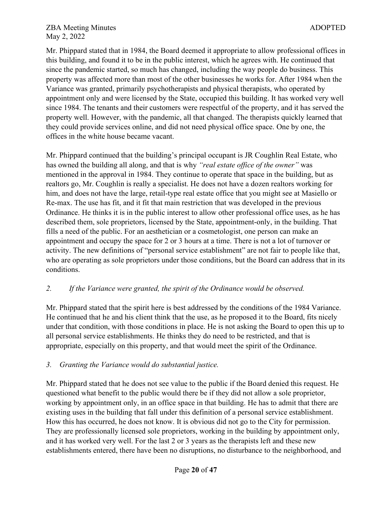Mr. Phippard stated that in 1984, the Board deemed it appropriate to allow professional offices in this building, and found it to be in the public interest, which he agrees with. He continued that since the pandemic started, so much has changed, including the way people do business. This property was affected more than most of the other businesses he works for. After 1984 when the Variance was granted, primarily psychotherapists and physical therapists, who operated by appointment only and were licensed by the State, occupied this building. It has worked very well since 1984. The tenants and their customers were respectful of the property, and it has served the property well. However, with the pandemic, all that changed. The therapists quickly learned that they could provide services online, and did not need physical office space. One by one, the offices in the white house became vacant.

Mr. Phippard continued that the building's principal occupant is JR Coughlin Real Estate, who has owned the building all along, and that is why *"real estate office of the owner"* was mentioned in the approval in 1984. They continue to operate that space in the building, but as realtors go, Mr. Coughlin is really a specialist. He does not have a dozen realtors working for him, and does not have the large, retail-type real estate office that you might see at Masiello or Re-max. The use has fit, and it fit that main restriction that was developed in the previous Ordinance. He thinks it is in the public interest to allow other professional office uses, as he has described them, sole proprietors, licensed by the State, appointment-only, in the building. That fills a need of the public. For an aesthetician or a cosmetologist, one person can make an appointment and occupy the space for 2 or 3 hours at a time. There is not a lot of turnover or activity. The new definitions of "personal service establishment" are not fair to people like that, who are operating as sole proprietors under those conditions, but the Board can address that in its conditions.

## *2. If the Variance were granted, the spirit of the Ordinance would be observed.*

Mr. Phippard stated that the spirit here is best addressed by the conditions of the 1984 Variance. He continued that he and his client think that the use, as he proposed it to the Board, fits nicely under that condition, with those conditions in place. He is not asking the Board to open this up to all personal service establishments. He thinks they do need to be restricted, and that is appropriate, especially on this property, and that would meet the spirit of the Ordinance.

## *3. Granting the Variance would do substantial justice.*

Mr. Phippard stated that he does not see value to the public if the Board denied this request. He questioned what benefit to the public would there be if they did not allow a sole proprietor, working by appointment only, in an office space in that building. He has to admit that there are existing uses in the building that fall under this definition of a personal service establishment. How this has occurred, he does not know. It is obvious did not go to the City for permission. They are professionally licensed sole proprietors, working in the building by appointment only, and it has worked very well. For the last 2 or 3 years as the therapists left and these new establishments entered, there have been no disruptions, no disturbance to the neighborhood, and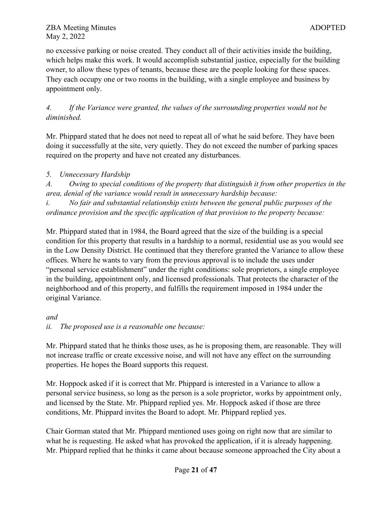no excessive parking or noise created. They conduct all of their activities inside the building, which helps make this work. It would accomplish substantial justice, especially for the building owner, to allow these types of tenants, because these are the people looking for these spaces. They each occupy one or two rooms in the building, with a single employee and business by appointment only.

*4. If the Variance were granted, the values of the surrounding properties would not be diminished.*

Mr. Phippard stated that he does not need to repeat all of what he said before. They have been doing it successfully at the site, very quietly. They do not exceed the number of parking spaces required on the property and have not created any disturbances.

*5. Unnecessary Hardship* 

*A. Owing to special conditions of the property that distinguish it from other properties in the area, denial of the variance would result in unnecessary hardship because:*

*i. No fair and substantial relationship exists between the general public purposes of the ordinance provision and the specific application of that provision to the property because:* 

Mr. Phippard stated that in 1984, the Board agreed that the size of the building is a special condition for this property that results in a hardship to a normal, residential use as you would see in the Low Density District. He continued that they therefore granted the Variance to allow these offices. Where he wants to vary from the previous approval is to include the uses under "personal service establishment" under the right conditions: sole proprietors, a single employee in the building, appointment only, and licensed professionals. That protects the character of the neighborhood and of this property, and fulfills the requirement imposed in 1984 under the original Variance.

*and*

*ii. The proposed use is a reasonable one because:* 

Mr. Phippard stated that he thinks those uses, as he is proposing them, are reasonable. They will not increase traffic or create excessive noise, and will not have any effect on the surrounding properties. He hopes the Board supports this request.

Mr. Hoppock asked if it is correct that Mr. Phippard is interested in a Variance to allow a personal service business, so long as the person is a sole proprietor, works by appointment only, and licensed by the State. Mr. Phippard replied yes. Mr. Hoppock asked if those are three conditions, Mr. Phippard invites the Board to adopt. Mr. Phippard replied yes.

Chair Gorman stated that Mr. Phippard mentioned uses going on right now that are similar to what he is requesting. He asked what has provoked the application, if it is already happening. Mr. Phippard replied that he thinks it came about because someone approached the City about a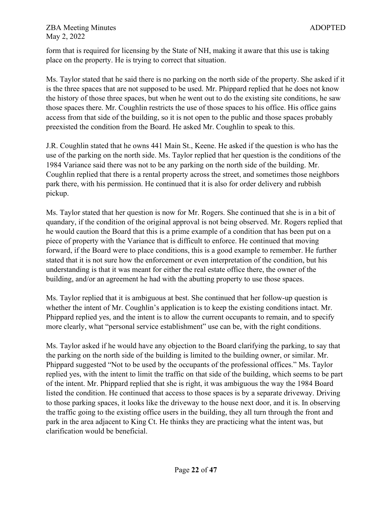form that is required for licensing by the State of NH, making it aware that this use is taking place on the property. He is trying to correct that situation.

Ms. Taylor stated that he said there is no parking on the north side of the property. She asked if it is the three spaces that are not supposed to be used. Mr. Phippard replied that he does not know the history of those three spaces, but when he went out to do the existing site conditions, he saw those spaces there. Mr. Coughlin restricts the use of those spaces to his office. His office gains access from that side of the building, so it is not open to the public and those spaces probably preexisted the condition from the Board. He asked Mr. Coughlin to speak to this.

J.R. Coughlin stated that he owns 441 Main St., Keene. He asked if the question is who has the use of the parking on the north side. Ms. Taylor replied that her question is the conditions of the 1984 Variance said there was not to be any parking on the north side of the building. Mr. Coughlin replied that there is a rental property across the street, and sometimes those neighbors park there, with his permission. He continued that it is also for order delivery and rubbish pickup.

Ms. Taylor stated that her question is now for Mr. Rogers. She continued that she is in a bit of quandary, if the condition of the original approval is not being observed. Mr. Rogers replied that he would caution the Board that this is a prime example of a condition that has been put on a piece of property with the Variance that is difficult to enforce. He continued that moving forward, if the Board were to place conditions, this is a good example to remember. He further stated that it is not sure how the enforcement or even interpretation of the condition, but his understanding is that it was meant for either the real estate office there, the owner of the building, and/or an agreement he had with the abutting property to use those spaces.

Ms. Taylor replied that it is ambiguous at best. She continued that her follow-up question is whether the intent of Mr. Coughlin's application is to keep the existing conditions intact. Mr. Phippard replied yes, and the intent is to allow the current occupants to remain, and to specify more clearly, what "personal service establishment" use can be, with the right conditions.

Ms. Taylor asked if he would have any objection to the Board clarifying the parking, to say that the parking on the north side of the building is limited to the building owner, or similar. Mr. Phippard suggested "Not to be used by the occupants of the professional offices." Ms. Taylor replied yes, with the intent to limit the traffic on that side of the building, which seems to be part of the intent. Mr. Phippard replied that she is right, it was ambiguous the way the 1984 Board listed the condition. He continued that access to those spaces is by a separate driveway. Driving to those parking spaces, it looks like the driveway to the house next door, and it is. In observing the traffic going to the existing office users in the building, they all turn through the front and park in the area adjacent to King Ct. He thinks they are practicing what the intent was, but clarification would be beneficial.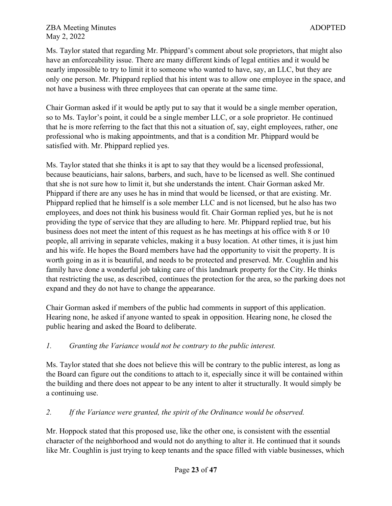Ms. Taylor stated that regarding Mr. Phippard's comment about sole proprietors, that might also have an enforceability issue. There are many different kinds of legal entities and it would be nearly impossible to try to limit it to someone who wanted to have, say, an LLC, but they are only one person. Mr. Phippard replied that his intent was to allow one employee in the space, and not have a business with three employees that can operate at the same time.

Chair Gorman asked if it would be aptly put to say that it would be a single member operation, so to Ms. Taylor's point, it could be a single member LLC, or a sole proprietor. He continued that he is more referring to the fact that this not a situation of, say, eight employees, rather, one professional who is making appointments, and that is a condition Mr. Phippard would be satisfied with. Mr. Phippard replied yes.

Ms. Taylor stated that she thinks it is apt to say that they would be a licensed professional, because beauticians, hair salons, barbers, and such, have to be licensed as well. She continued that she is not sure how to limit it, but she understands the intent. Chair Gorman asked Mr. Phippard if there are any uses he has in mind that would be licensed, or that are existing. Mr. Phippard replied that he himself is a sole member LLC and is not licensed, but he also has two employees, and does not think his business would fit. Chair Gorman replied yes, but he is not providing the type of service that they are alluding to here. Mr. Phippard replied true, but his business does not meet the intent of this request as he has meetings at his office with 8 or 10 people, all arriving in separate vehicles, making it a busy location. At other times, it is just him and his wife. He hopes the Board members have had the opportunity to visit the property. It is worth going in as it is beautiful, and needs to be protected and preserved. Mr. Coughlin and his family have done a wonderful job taking care of this landmark property for the City. He thinks that restricting the use, as described, continues the protection for the area, so the parking does not expand and they do not have to change the appearance.

Chair Gorman asked if members of the public had comments in support of this application. Hearing none, he asked if anyone wanted to speak in opposition. Hearing none, he closed the public hearing and asked the Board to deliberate.

# *1. Granting the Variance would not be contrary to the public interest.*

Ms. Taylor stated that she does not believe this will be contrary to the public interest, as long as the Board can figure out the conditions to attach to it, especially since it will be contained within the building and there does not appear to be any intent to alter it structurally. It would simply be a continuing use.

# *2. If the Variance were granted, the spirit of the Ordinance would be observed.*

Mr. Hoppock stated that this proposed use, like the other one, is consistent with the essential character of the neighborhood and would not do anything to alter it. He continued that it sounds like Mr. Coughlin is just trying to keep tenants and the space filled with viable businesses, which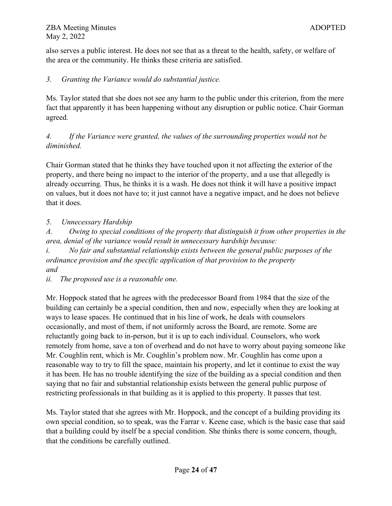also serves a public interest. He does not see that as a threat to the health, safety, or welfare of the area or the community. He thinks these criteria are satisfied.

## *3. Granting the Variance would do substantial justice.*

Ms. Taylor stated that she does not see any harm to the public under this criterion, from the mere fact that apparently it has been happening without any disruption or public notice. Chair Gorman agreed.

*4. If the Variance were granted, the values of the surrounding properties would not be diminished.*

Chair Gorman stated that he thinks they have touched upon it not affecting the exterior of the property, and there being no impact to the interior of the property, and a use that allegedly is already occurring. Thus, he thinks it is a wash. He does not think it will have a positive impact on values, but it does not have to; it just cannot have a negative impact, and he does not believe that it does.

## *5. Unnecessary Hardship*

*A. Owing to special conditions of the property that distinguish it from other properties in the area, denial of the variance would result in unnecessary hardship because:*

*i. No fair and substantial relationship exists between the general public purposes of the ordinance provision and the specific application of that provision to the property and*

*ii. The proposed use is a reasonable one.*

Mr. Hoppock stated that he agrees with the predecessor Board from 1984 that the size of the building can certainly be a special condition, then and now, especially when they are looking at ways to lease spaces. He continued that in his line of work, he deals with counselors occasionally, and most of them, if not uniformly across the Board, are remote. Some are reluctantly going back to in-person, but it is up to each individual. Counselors, who work remotely from home, save a ton of overhead and do not have to worry about paying someone like Mr. Coughlin rent, which is Mr. Coughlin's problem now. Mr. Coughlin has come upon a reasonable way to try to fill the space, maintain his property, and let it continue to exist the way it has been. He has no trouble identifying the size of the building as a special condition and then saying that no fair and substantial relationship exists between the general public purpose of restricting professionals in that building as it is applied to this property. It passes that test.

Ms. Taylor stated that she agrees with Mr. Hoppock, and the concept of a building providing its own special condition, so to speak, was the Farrar v. Keene case, which is the basic case that said that a building could by itself be a special condition. She thinks there is some concern, though, that the conditions be carefully outlined.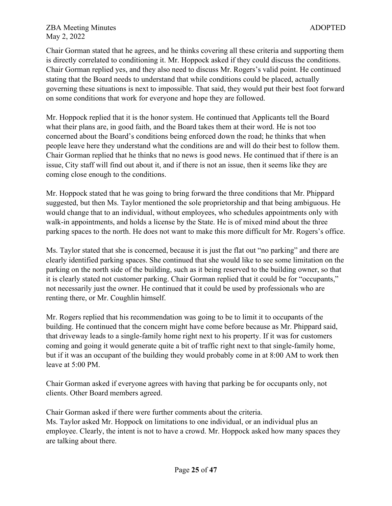Chair Gorman stated that he agrees, and he thinks covering all these criteria and supporting them is directly correlated to conditioning it. Mr. Hoppock asked if they could discuss the conditions. Chair Gorman replied yes, and they also need to discuss Mr. Rogers's valid point. He continued stating that the Board needs to understand that while conditions could be placed, actually governing these situations is next to impossible. That said, they would put their best foot forward on some conditions that work for everyone and hope they are followed.

Mr. Hoppock replied that it is the honor system. He continued that Applicants tell the Board what their plans are, in good faith, and the Board takes them at their word. He is not too concerned about the Board's conditions being enforced down the road; he thinks that when people leave here they understand what the conditions are and will do their best to follow them. Chair Gorman replied that he thinks that no news is good news. He continued that if there is an issue, City staff will find out about it, and if there is not an issue, then it seems like they are coming close enough to the conditions.

Mr. Hoppock stated that he was going to bring forward the three conditions that Mr. Phippard suggested, but then Ms. Taylor mentioned the sole proprietorship and that being ambiguous. He would change that to an individual, without employees, who schedules appointments only with walk-in appointments, and holds a license by the State. He is of mixed mind about the three parking spaces to the north. He does not want to make this more difficult for Mr. Rogers's office.

Ms. Taylor stated that she is concerned, because it is just the flat out "no parking" and there are clearly identified parking spaces. She continued that she would like to see some limitation on the parking on the north side of the building, such as it being reserved to the building owner, so that it is clearly stated not customer parking. Chair Gorman replied that it could be for "occupants," not necessarily just the owner. He continued that it could be used by professionals who are renting there, or Mr. Coughlin himself.

Mr. Rogers replied that his recommendation was going to be to limit it to occupants of the building. He continued that the concern might have come before because as Mr. Phippard said, that driveway leads to a single-family home right next to his property. If it was for customers coming and going it would generate quite a bit of traffic right next to that single-family home, but if it was an occupant of the building they would probably come in at 8:00 AM to work then leave at 5:00 PM.

Chair Gorman asked if everyone agrees with having that parking be for occupants only, not clients. Other Board members agreed.

Chair Gorman asked if there were further comments about the criteria. Ms. Taylor asked Mr. Hoppock on limitations to one individual, or an individual plus an employee. Clearly, the intent is not to have a crowd. Mr. Hoppock asked how many spaces they are talking about there.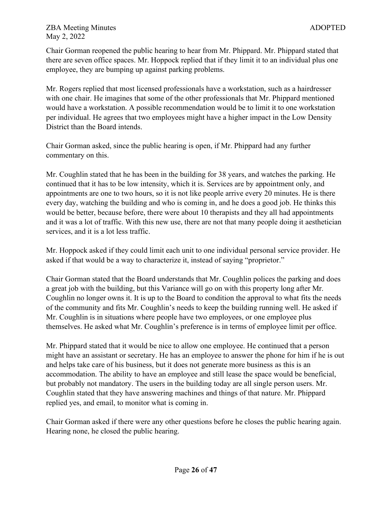Chair Gorman reopened the public hearing to hear from Mr. Phippard. Mr. Phippard stated that there are seven office spaces. Mr. Hoppock replied that if they limit it to an individual plus one employee, they are bumping up against parking problems.

Mr. Rogers replied that most licensed professionals have a workstation, such as a hairdresser with one chair. He imagines that some of the other professionals that Mr. Phippard mentioned would have a workstation. A possible recommendation would be to limit it to one workstation per individual. He agrees that two employees might have a higher impact in the Low Density District than the Board intends.

Chair Gorman asked, since the public hearing is open, if Mr. Phippard had any further commentary on this.

Mr. Coughlin stated that he has been in the building for 38 years, and watches the parking. He continued that it has to be low intensity, which it is. Services are by appointment only, and appointments are one to two hours, so it is not like people arrive every 20 minutes. He is there every day, watching the building and who is coming in, and he does a good job. He thinks this would be better, because before, there were about 10 therapists and they all had appointments and it was a lot of traffic. With this new use, there are not that many people doing it aesthetician services, and it is a lot less traffic.

Mr. Hoppock asked if they could limit each unit to one individual personal service provider. He asked if that would be a way to characterize it, instead of saying "proprietor."

Chair Gorman stated that the Board understands that Mr. Coughlin polices the parking and does a great job with the building, but this Variance will go on with this property long after Mr. Coughlin no longer owns it. It is up to the Board to condition the approval to what fits the needs of the community and fits Mr. Coughlin's needs to keep the building running well. He asked if Mr. Coughlin is in situations where people have two employees, or one employee plus themselves. He asked what Mr. Coughlin's preference is in terms of employee limit per office.

Mr. Phippard stated that it would be nice to allow one employee. He continued that a person might have an assistant or secretary. He has an employee to answer the phone for him if he is out and helps take care of his business, but it does not generate more business as this is an accommodation. The ability to have an employee and still lease the space would be beneficial, but probably not mandatory. The users in the building today are all single person users. Mr. Coughlin stated that they have answering machines and things of that nature. Mr. Phippard replied yes, and email, to monitor what is coming in.

Chair Gorman asked if there were any other questions before he closes the public hearing again. Hearing none, he closed the public hearing.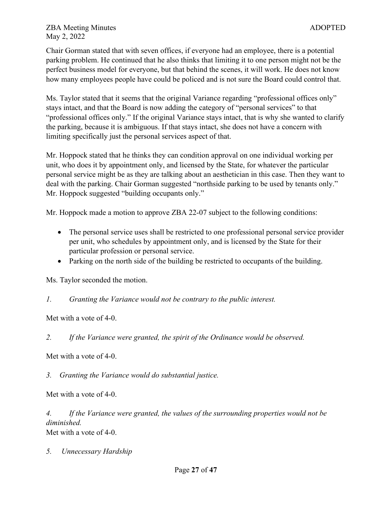Chair Gorman stated that with seven offices, if everyone had an employee, there is a potential parking problem. He continued that he also thinks that limiting it to one person might not be the perfect business model for everyone, but that behind the scenes, it will work. He does not know how many employees people have could be policed and is not sure the Board could control that.

Ms. Taylor stated that it seems that the original Variance regarding "professional offices only" stays intact, and that the Board is now adding the category of "personal services" to that "professional offices only." If the original Variance stays intact, that is why she wanted to clarify the parking, because it is ambiguous. If that stays intact, she does not have a concern with limiting specifically just the personal services aspect of that.

Mr. Hoppock stated that he thinks they can condition approval on one individual working per unit, who does it by appointment only, and licensed by the State, for whatever the particular personal service might be as they are talking about an aesthetician in this case. Then they want to deal with the parking. Chair Gorman suggested "northside parking to be used by tenants only." Mr. Hoppock suggested "building occupants only."

Mr. Hoppock made a motion to approve ZBA 22-07 subject to the following conditions:

- The personal service uses shall be restricted to one professional personal service provider per unit, who schedules by appointment only, and is licensed by the State for their particular profession or personal service.
- Parking on the north side of the building be restricted to occupants of the building.

Ms. Taylor seconded the motion.

## *1. Granting the Variance would not be contrary to the public interest.*

Met with a vote of 4-0.

*2. If the Variance were granted, the spirit of the Ordinance would be observed.*

Met with a vote of 4-0.

*3. Granting the Variance would do substantial justice.*

Met with a vote of 4-0.

*4. If the Variance were granted, the values of the surrounding properties would not be diminished.*

Met with a vote of 4-0.

*5. Unnecessary Hardship*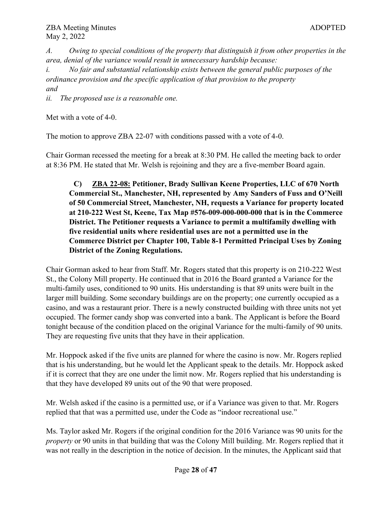*A. Owing to special conditions of the property that distinguish it from other properties in the area, denial of the variance would result in unnecessary hardship because:*

*i. No fair and substantial relationship exists between the general public purposes of the ordinance provision and the specific application of that provision to the property and*

*ii. The proposed use is a reasonable one.*

Met with a vote of 4-0.

The motion to approve ZBA 22-07 with conditions passed with a vote of 4-0.

Chair Gorman recessed the meeting for a break at 8:30 PM. He called the meeting back to order at 8:36 PM. He stated that Mr. Welsh is rejoining and they are a five-member Board again.

**C) ZBA 22-08: Petitioner, Brady Sullivan Keene Properties, LLC of 670 North Commercial St., Manchester, NH, represented by Amy Sanders of Fuss and O'Neill of 50 Commercial Street, Manchester, NH, requests a Variance for property located at 210-222 West St, Keene, Tax Map #576-009-000-000-000 that is in the Commerce District. The Petitioner requests a Variance to permit a multifamily dwelling with five residential units where residential uses are not a permitted use in the Commerce District per Chapter 100, Table 8-1 Permitted Principal Uses by Zoning District of the Zoning Regulations.**

Chair Gorman asked to hear from Staff. Mr. Rogers stated that this property is on 210-222 West St., the Colony Mill property. He continued that in 2016 the Board granted a Variance for the multi-family uses, conditioned to 90 units. His understanding is that 89 units were built in the larger mill building. Some secondary buildings are on the property; one currently occupied as a casino, and was a restaurant prior. There is a newly constructed building with three units not yet occupied. The former candy shop was converted into a bank. The Applicant is before the Board tonight because of the condition placed on the original Variance for the multi-family of 90 units. They are requesting five units that they have in their application.

Mr. Hoppock asked if the five units are planned for where the casino is now. Mr. Rogers replied that is his understanding, but he would let the Applicant speak to the details. Mr. Hoppock asked if it is correct that they are one under the limit now. Mr. Rogers replied that his understanding is that they have developed 89 units out of the 90 that were proposed.

Mr. Welsh asked if the casino is a permitted use, or if a Variance was given to that. Mr. Rogers replied that that was a permitted use, under the Code as "indoor recreational use."

Ms. Taylor asked Mr. Rogers if the original condition for the 2016 Variance was 90 units for the *property* or 90 units in that building that was the Colony Mill building. Mr. Rogers replied that it was not really in the description in the notice of decision. In the minutes, the Applicant said that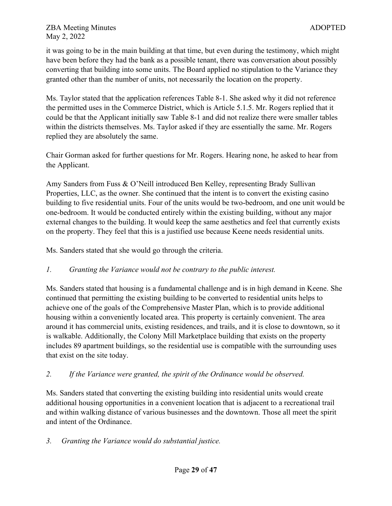it was going to be in the main building at that time, but even during the testimony, which might have been before they had the bank as a possible tenant, there was conversation about possibly converting that building into some units. The Board applied no stipulation to the Variance they granted other than the number of units, not necessarily the location on the property.

Ms. Taylor stated that the application references Table 8-1. She asked why it did not reference the permitted uses in the Commerce District, which is Article 5.1.5. Mr. Rogers replied that it could be that the Applicant initially saw Table 8-1 and did not realize there were smaller tables within the districts themselves. Ms. Taylor asked if they are essentially the same. Mr. Rogers replied they are absolutely the same.

Chair Gorman asked for further questions for Mr. Rogers. Hearing none, he asked to hear from the Applicant.

Amy Sanders from Fuss & O'Neill introduced Ben Kelley, representing Brady Sullivan Properties, LLC, as the owner. She continued that the intent is to convert the existing casino building to five residential units. Four of the units would be two-bedroom, and one unit would be one-bedroom. It would be conducted entirely within the existing building, without any major external changes to the building. It would keep the same aesthetics and feel that currently exists on the property. They feel that this is a justified use because Keene needs residential units.

Ms. Sanders stated that she would go through the criteria.

## *1. Granting the Variance would not be contrary to the public interest.*

Ms. Sanders stated that housing is a fundamental challenge and is in high demand in Keene. She continued that permitting the existing building to be converted to residential units helps to achieve one of the goals of the Comprehensive Master Plan, which is to provide additional housing within a conveniently located area. This property is certainly convenient. The area around it has commercial units, existing residences, and trails, and it is close to downtown, so it is walkable. Additionally, the Colony Mill Marketplace building that exists on the property includes 89 apartment buildings, so the residential use is compatible with the surrounding uses that exist on the site today.

# *2. If the Variance were granted, the spirit of the Ordinance would be observed.*

Ms. Sanders stated that converting the existing building into residential units would create additional housing opportunities in a convenient location that is adjacent to a recreational trail and within walking distance of various businesses and the downtown. Those all meet the spirit and intent of the Ordinance.

## *3. Granting the Variance would do substantial justice.*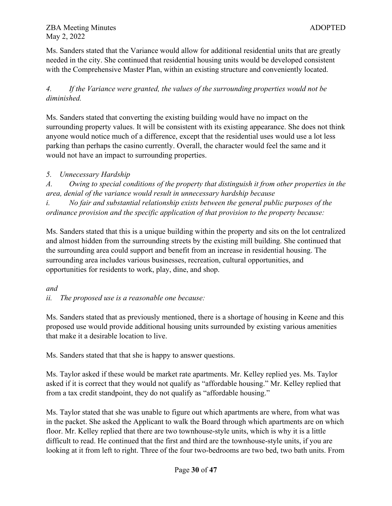Ms. Sanders stated that the Variance would allow for additional residential units that are greatly needed in the city. She continued that residential housing units would be developed consistent with the Comprehensive Master Plan, within an existing structure and conveniently located.

*4. If the Variance were granted, the values of the surrounding properties would not be diminished.*

Ms. Sanders stated that converting the existing building would have no impact on the surrounding property values. It will be consistent with its existing appearance. She does not think anyone would notice much of a difference, except that the residential uses would use a lot less parking than perhaps the casino currently. Overall, the character would feel the same and it would not have an impact to surrounding properties.

## *5. Unnecessary Hardship*

*A. Owing to special conditions of the property that distinguish it from other properties in the area, denial of the variance would result in unnecessary hardship because*

*i. No fair and substantial relationship exists between the general public purposes of the ordinance provision and the specific application of that provision to the property because:*

Ms. Sanders stated that this is a unique building within the property and sits on the lot centralized and almost hidden from the surrounding streets by the existing mill building. She continued that the surrounding area could support and benefit from an increase in residential housing. The surrounding area includes various businesses, recreation, cultural opportunities, and opportunities for residents to work, play, dine, and shop.

## *and*

*ii. The proposed use is a reasonable one because:* 

Ms. Sanders stated that as previously mentioned, there is a shortage of housing in Keene and this proposed use would provide additional housing units surrounded by existing various amenities that make it a desirable location to live.

Ms. Sanders stated that that she is happy to answer questions.

Ms. Taylor asked if these would be market rate apartments. Mr. Kelley replied yes. Ms. Taylor asked if it is correct that they would not qualify as "affordable housing." Mr. Kelley replied that from a tax credit standpoint, they do not qualify as "affordable housing."

Ms. Taylor stated that she was unable to figure out which apartments are where, from what was in the packet. She asked the Applicant to walk the Board through which apartments are on which floor. Mr. Kelley replied that there are two townhouse-style units, which is why it is a little difficult to read. He continued that the first and third are the townhouse-style units, if you are looking at it from left to right. Three of the four two-bedrooms are two bed, two bath units. From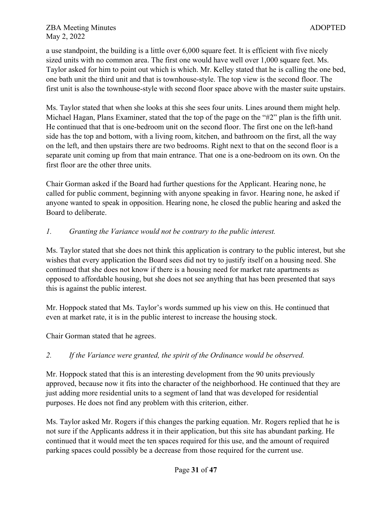a use standpoint, the building is a little over 6,000 square feet. It is efficient with five nicely sized units with no common area. The first one would have well over 1,000 square feet. Ms. Taylor asked for him to point out which is which. Mr. Kelley stated that he is calling the one bed, one bath unit the third unit and that is townhouse-style. The top view is the second floor. The first unit is also the townhouse-style with second floor space above with the master suite upstairs.

Ms. Taylor stated that when she looks at this she sees four units. Lines around them might help. Michael Hagan, Plans Examiner, stated that the top of the page on the "#2" plan is the fifth unit. He continued that that is one-bedroom unit on the second floor. The first one on the left-hand side has the top and bottom, with a living room, kitchen, and bathroom on the first, all the way on the left, and then upstairs there are two bedrooms. Right next to that on the second floor is a separate unit coming up from that main entrance. That one is a one-bedroom on its own. On the first floor are the other three units.

Chair Gorman asked if the Board had further questions for the Applicant. Hearing none, he called for public comment, beginning with anyone speaking in favor. Hearing none, he asked if anyone wanted to speak in opposition. Hearing none, he closed the public hearing and asked the Board to deliberate.

## *1. Granting the Variance would not be contrary to the public interest.*

Ms. Taylor stated that she does not think this application is contrary to the public interest, but she wishes that every application the Board sees did not try to justify itself on a housing need. She continued that she does not know if there is a housing need for market rate apartments as opposed to affordable housing, but she does not see anything that has been presented that says this is against the public interest.

Mr. Hoppock stated that Ms. Taylor's words summed up his view on this. He continued that even at market rate, it is in the public interest to increase the housing stock.

Chair Gorman stated that he agrees.

# *2. If the Variance were granted, the spirit of the Ordinance would be observed.*

Mr. Hoppock stated that this is an interesting development from the 90 units previously approved, because now it fits into the character of the neighborhood. He continued that they are just adding more residential units to a segment of land that was developed for residential purposes. He does not find any problem with this criterion, either.

Ms. Taylor asked Mr. Rogers if this changes the parking equation. Mr. Rogers replied that he is not sure if the Applicants address it in their application, but this site has abundant parking. He continued that it would meet the ten spaces required for this use, and the amount of required parking spaces could possibly be a decrease from those required for the current use.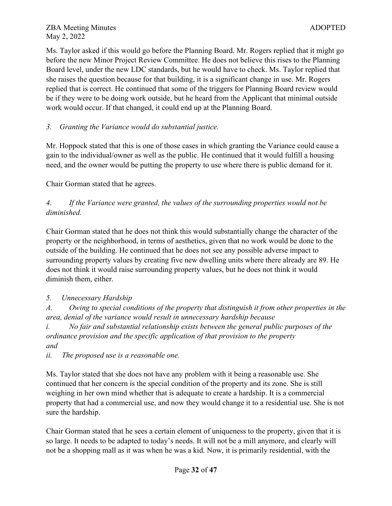Ms. Taylor asked if this would go before the Planning Board. Mr. Rogers replied that it might go before the new Minor Project Review Committee. He does not believe this rises to the Planning Board level, under the new LDC standards, but he would have to check. Ms. Taylor replied that she raises the question because for that building, it is a significant change in use. Mr. Rogers replied that is correct. He continued that some of the triggers for Planning Board review would be if they were to be doing work outside, but he heard from the Applicant that minimal outside work would occur. If that changed, it could end up at the Planning Board.

## *3. Granting the Variance would do substantial justice.*

Mr. Hoppock stated that this is one of those cases in which granting the Variance could cause a gain to the individual/owner as well as the public. He continued that it would fulfill a housing need, and the owner would be putting the property to use where there is public demand for it.

Chair Gorman stated that he agrees.

# *4. If the Variance were granted, the values of the surrounding properties would not be diminished.*

Chair Gorman stated that he does not think this would substantially change the character of the property or the neighborhood, in terms of aesthetics, given that no work would be done to the outside of the building. He continued that he does not see any possible adverse impact to surrounding property values by creating five new dwelling units where there already are 89. He does not think it would raise surrounding property values, but he does not think it would diminish them, either.

# *5. Unnecessary Hardship*

*A. Owing to special conditions of the property that distinguish it from other properties in the area, denial of the variance would result in unnecessary hardship because* 

*i. No fair and substantial relationship exists between the general public purposes of the ordinance provision and the specific application of that provision to the property and*

*ii. The proposed use is a reasonable one.*

Ms. Taylor stated that she does not have any problem with it being a reasonable use. She continued that her concern is the special condition of the property and its zone. She is still weighing in her own mind whether that is adequate to create a hardship. It is a commercial property that had a commercial use, and now they would change it to a residential use. She is not sure the hardship.

Chair Gorman stated that he sees a certain element of uniqueness to the property, given that it is so large. It needs to be adapted to today's needs. It will not be a mill anymore, and clearly will not be a shopping mall as it was when he was a kid. Now, it is primarily residential, with the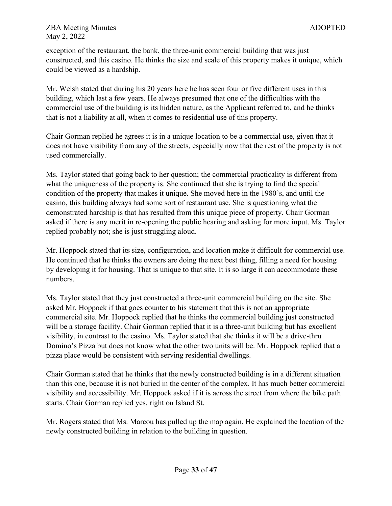exception of the restaurant, the bank, the three-unit commercial building that was just constructed, and this casino. He thinks the size and scale of this property makes it unique, which could be viewed as a hardship.

Mr. Welsh stated that during his 20 years here he has seen four or five different uses in this building, which last a few years. He always presumed that one of the difficulties with the commercial use of the building is its hidden nature, as the Applicant referred to, and he thinks that is not a liability at all, when it comes to residential use of this property.

Chair Gorman replied he agrees it is in a unique location to be a commercial use, given that it does not have visibility from any of the streets, especially now that the rest of the property is not used commercially.

Ms. Taylor stated that going back to her question; the commercial practicality is different from what the uniqueness of the property is. She continued that she is trying to find the special condition of the property that makes it unique. She moved here in the 1980's, and until the casino, this building always had some sort of restaurant use. She is questioning what the demonstrated hardship is that has resulted from this unique piece of property. Chair Gorman asked if there is any merit in re-opening the public hearing and asking for more input. Ms. Taylor replied probably not; she is just struggling aloud.

Mr. Hoppock stated that its size, configuration, and location make it difficult for commercial use. He continued that he thinks the owners are doing the next best thing, filling a need for housing by developing it for housing. That is unique to that site. It is so large it can accommodate these numbers.

Ms. Taylor stated that they just constructed a three-unit commercial building on the site. She asked Mr. Hoppock if that goes counter to his statement that this is not an appropriate commercial site. Mr. Hoppock replied that he thinks the commercial building just constructed will be a storage facility. Chair Gorman replied that it is a three-unit building but has excellent visibility, in contrast to the casino. Ms. Taylor stated that she thinks it will be a drive-thru Domino's Pizza but does not know what the other two units will be. Mr. Hoppock replied that a pizza place would be consistent with serving residential dwellings.

Chair Gorman stated that he thinks that the newly constructed building is in a different situation than this one, because it is not buried in the center of the complex. It has much better commercial visibility and accessibility. Mr. Hoppock asked if it is across the street from where the bike path starts. Chair Gorman replied yes, right on Island St.

Mr. Rogers stated that Ms. Marcou has pulled up the map again. He explained the location of the newly constructed building in relation to the building in question.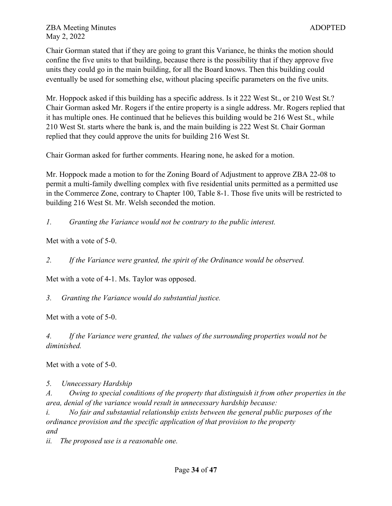Chair Gorman stated that if they are going to grant this Variance, he thinks the motion should confine the five units to that building, because there is the possibility that if they approve five units they could go in the main building, for all the Board knows. Then this building could eventually be used for something else, without placing specific parameters on the five units.

Mr. Hoppock asked if this building has a specific address. Is it 222 West St., or 210 West St.? Chair Gorman asked Mr. Rogers if the entire property is a single address. Mr. Rogers replied that it has multiple ones. He continued that he believes this building would be 216 West St., while 210 West St. starts where the bank is, and the main building is 222 West St. Chair Gorman replied that they could approve the units for building 216 West St.

Chair Gorman asked for further comments. Hearing none, he asked for a motion.

Mr. Hoppock made a motion to for the Zoning Board of Adjustment to approve ZBA 22-08 to permit a multi-family dwelling complex with five residential units permitted as a permitted use in the Commerce Zone, contrary to Chapter 100, Table 8-1. Those five units will be restricted to building 216 West St. Mr. Welsh seconded the motion.

*1. Granting the Variance would not be contrary to the public interest.*

Met with a vote of 5-0.

*2. If the Variance were granted, the spirit of the Ordinance would be observed.*

Met with a vote of 4-1. Ms. Taylor was opposed.

*3. Granting the Variance would do substantial justice.*

Met with a vote of 5-0.

*4. If the Variance were granted, the values of the surrounding properties would not be diminished.*

Met with a vote of 5-0.

*5. Unnecessary Hardship* 

*A. Owing to special conditions of the property that distinguish it from other properties in the area, denial of the variance would result in unnecessary hardship because:*

*i. No fair and substantial relationship exists between the general public purposes of the ordinance provision and the specific application of that provision to the property and*

*ii. The proposed use is a reasonable one.*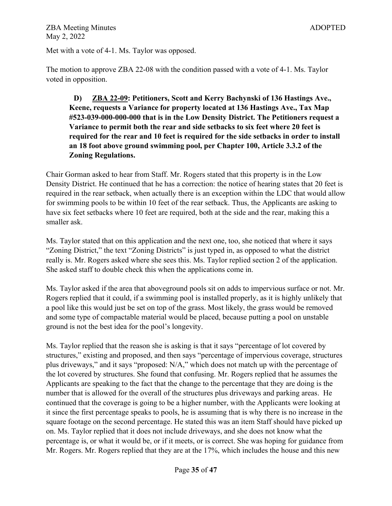Met with a vote of 4-1. Ms. Taylor was opposed.

The motion to approve ZBA 22-08 with the condition passed with a vote of 4-1. Ms. Taylor voted in opposition.

**D) ZBA 22-09: Petitioners, Scott and Kerry Bachynski of 136 Hastings Ave., Keene, requests a Variance for property located at 136 Hastings Ave., Tax Map #523-039-000-000-000 that is in the Low Density District. The Petitioners request a Variance to permit both the rear and side setbacks to six feet where 20 feet is required for the rear and 10 feet is required for the side setbacks in order to install an 18 foot above ground swimming pool, per Chapter 100, Article 3.3.2 of the Zoning Regulations.**

Chair Gorman asked to hear from Staff. Mr. Rogers stated that this property is in the Low Density District. He continued that he has a correction: the notice of hearing states that 20 feet is required in the rear setback, when actually there is an exception within the LDC that would allow for swimming pools to be within 10 feet of the rear setback. Thus, the Applicants are asking to have six feet setbacks where 10 feet are required, both at the side and the rear, making this a smaller ask.

Ms. Taylor stated that on this application and the next one, too, she noticed that where it says "Zoning District," the text "Zoning Districts" is just typed in, as opposed to what the district really is. Mr. Rogers asked where she sees this. Ms. Taylor replied section 2 of the application. She asked staff to double check this when the applications come in.

Ms. Taylor asked if the area that aboveground pools sit on adds to impervious surface or not. Mr. Rogers replied that it could, if a swimming pool is installed properly, as it is highly unlikely that a pool like this would just be set on top of the grass. Most likely, the grass would be removed and some type of compactable material would be placed, because putting a pool on unstable ground is not the best idea for the pool's longevity.

Ms. Taylor replied that the reason she is asking is that it says "percentage of lot covered by structures," existing and proposed, and then says "percentage of impervious coverage, structures plus driveways," and it says "proposed: N/A," which does not match up with the percentage of the lot covered by structures. She found that confusing. Mr. Rogers replied that he assumes the Applicants are speaking to the fact that the change to the percentage that they are doing is the number that is allowed for the overall of the structures plus driveways and parking areas. He continued that the coverage is going to be a higher number, with the Applicants were looking at it since the first percentage speaks to pools, he is assuming that is why there is no increase in the square footage on the second percentage. He stated this was an item Staff should have picked up on. Ms. Taylor replied that it does not include driveways, and she does not know what the percentage is, or what it would be, or if it meets, or is correct. She was hoping for guidance from Mr. Rogers. Mr. Rogers replied that they are at the 17%, which includes the house and this new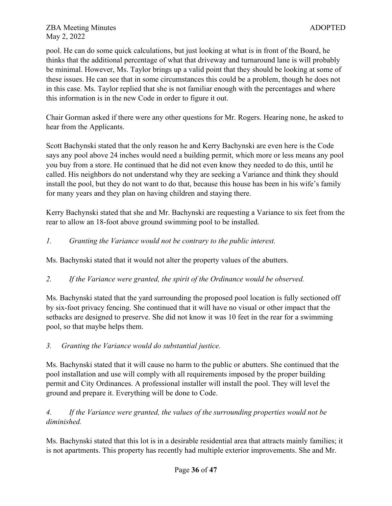pool. He can do some quick calculations, but just looking at what is in front of the Board, he thinks that the additional percentage of what that driveway and turnaround lane is will probably be minimal. However, Ms. Taylor brings up a valid point that they should be looking at some of these issues. He can see that in some circumstances this could be a problem, though he does not in this case. Ms. Taylor replied that she is not familiar enough with the percentages and where this information is in the new Code in order to figure it out.

Chair Gorman asked if there were any other questions for Mr. Rogers. Hearing none, he asked to hear from the Applicants.

Scott Bachynski stated that the only reason he and Kerry Bachynski are even here is the Code says any pool above 24 inches would need a building permit, which more or less means any pool you buy from a store. He continued that he did not even know they needed to do this, until he called. His neighbors do not understand why they are seeking a Variance and think they should install the pool, but they do not want to do that, because this house has been in his wife's family for many years and they plan on having children and staying there.

Kerry Bachynski stated that she and Mr. Bachynski are requesting a Variance to six feet from the rear to allow an 18-foot above ground swimming pool to be installed.

## *1. Granting the Variance would not be contrary to the public interest.*

Ms. Bachynski stated that it would not alter the property values of the abutters.

## *2. If the Variance were granted, the spirit of the Ordinance would be observed.*

Ms. Bachynski stated that the yard surrounding the proposed pool location is fully sectioned off by six-foot privacy fencing. She continued that it will have no visual or other impact that the setbacks are designed to preserve. She did not know it was 10 feet in the rear for a swimming pool, so that maybe helps them.

## *3. Granting the Variance would do substantial justice.*

Ms. Bachynski stated that it will cause no harm to the public or abutters. She continued that the pool installation and use will comply with all requirements imposed by the proper building permit and City Ordinances. A professional installer will install the pool. They will level the ground and prepare it. Everything will be done to Code.

## *4. If the Variance were granted, the values of the surrounding properties would not be diminished.*

Ms. Bachynski stated that this lot is in a desirable residential area that attracts mainly families; it is not apartments. This property has recently had multiple exterior improvements. She and Mr.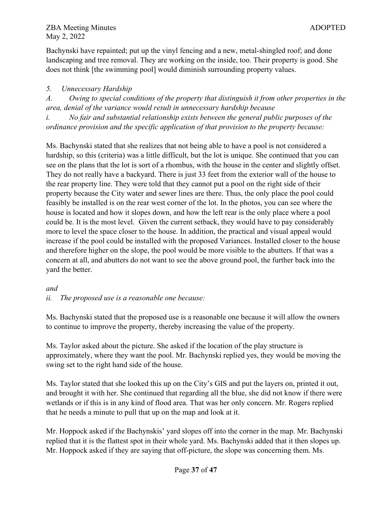Bachynski have repainted; put up the vinyl fencing and a new, metal-shingled roof; and done landscaping and tree removal. They are working on the inside, too. Their property is good. She does not think [the swimming pool] would diminish surrounding property values.

## *5. Unnecessary Hardship*

*A. Owing to special conditions of the property that distinguish it from other properties in the area, denial of the variance would result in unnecessary hardship because* 

*i. No fair and substantial relationship exists between the general public purposes of the ordinance provision and the specific application of that provision to the property because:* 

Ms. Bachynski stated that she realizes that not being able to have a pool is not considered a hardship, so this (criteria) was a little difficult, but the lot is unique. She continued that you can see on the plans that the lot is sort of a rhombus, with the house in the center and slightly offset. They do not really have a backyard. There is just 33 feet from the exterior wall of the house to the rear property line. They were told that they cannot put a pool on the right side of their property because the City water and sewer lines are there. Thus, the only place the pool could feasibly be installed is on the rear west corner of the lot. In the photos, you can see where the house is located and how it slopes down, and how the left rear is the only place where a pool could be. It is the most level. Given the current setback, they would have to pay considerably more to level the space closer to the house. In addition, the practical and visual appeal would increase if the pool could be installed with the proposed Variances. Installed closer to the house and therefore higher on the slope, the pool would be more visible to the abutters. If that was a concern at all, and abutters do not want to see the above ground pool, the further back into the yard the better.

## *and*

## *ii. The proposed use is a reasonable one because:*

Ms. Bachynski stated that the proposed use is a reasonable one because it will allow the owners to continue to improve the property, thereby increasing the value of the property.

Ms. Taylor asked about the picture. She asked if the location of the play structure is approximately, where they want the pool. Mr. Bachynski replied yes, they would be moving the swing set to the right hand side of the house.

Ms. Taylor stated that she looked this up on the City's GIS and put the layers on, printed it out, and brought it with her. She continued that regarding all the blue, she did not know if there were wetlands or if this is in any kind of flood area. That was her only concern. Mr. Rogers replied that he needs a minute to pull that up on the map and look at it.

Mr. Hoppock asked if the Bachynskis' yard slopes off into the corner in the map. Mr. Bachynski replied that it is the flattest spot in their whole yard. Ms. Bachynski added that it then slopes up. Mr. Hoppock asked if they are saying that off-picture, the slope was concerning them. Ms.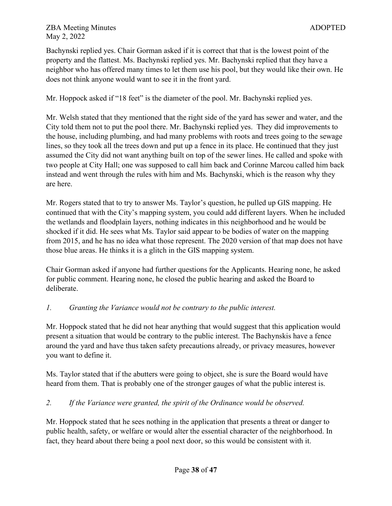Bachynski replied yes. Chair Gorman asked if it is correct that that is the lowest point of the property and the flattest. Ms. Bachynski replied yes. Mr. Bachynski replied that they have a neighbor who has offered many times to let them use his pool, but they would like their own. He does not think anyone would want to see it in the front yard.

Mr. Hoppock asked if "18 feet" is the diameter of the pool. Mr. Bachynski replied yes.

Mr. Welsh stated that they mentioned that the right side of the yard has sewer and water, and the City told them not to put the pool there. Mr. Bachynski replied yes. They did improvements to the house, including plumbing, and had many problems with roots and trees going to the sewage lines, so they took all the trees down and put up a fence in its place. He continued that they just assumed the City did not want anything built on top of the sewer lines. He called and spoke with two people at City Hall; one was supposed to call him back and Corinne Marcou called him back instead and went through the rules with him and Ms. Bachynski, which is the reason why they are here.

Mr. Rogers stated that to try to answer Ms. Taylor's question, he pulled up GIS mapping. He continued that with the City's mapping system, you could add different layers. When he included the wetlands and floodplain layers, nothing indicates in this neighborhood and he would be shocked if it did. He sees what Ms. Taylor said appear to be bodies of water on the mapping from 2015, and he has no idea what those represent. The 2020 version of that map does not have those blue areas. He thinks it is a glitch in the GIS mapping system.

Chair Gorman asked if anyone had further questions for the Applicants. Hearing none, he asked for public comment. Hearing none, he closed the public hearing and asked the Board to deliberate.

# *1. Granting the Variance would not be contrary to the public interest.*

Mr. Hoppock stated that he did not hear anything that would suggest that this application would present a situation that would be contrary to the public interest. The Bachynskis have a fence around the yard and have thus taken safety precautions already, or privacy measures, however you want to define it.

Ms. Taylor stated that if the abutters were going to object, she is sure the Board would have heard from them. That is probably one of the stronger gauges of what the public interest is.

# *2. If the Variance were granted, the spirit of the Ordinance would be observed.*

Mr. Hoppock stated that he sees nothing in the application that presents a threat or danger to public health, safety, or welfare or would alter the essential character of the neighborhood. In fact, they heard about there being a pool next door, so this would be consistent with it.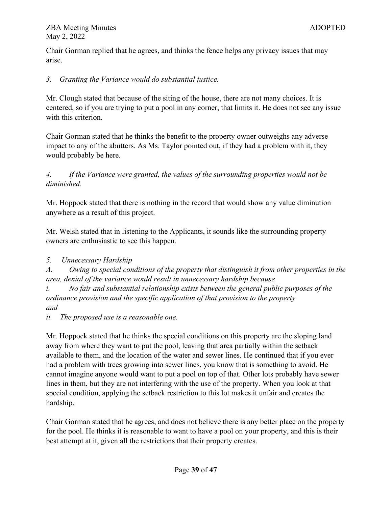Chair Gorman replied that he agrees, and thinks the fence helps any privacy issues that may arise.

# *3. Granting the Variance would do substantial justice.*

Mr. Clough stated that because of the siting of the house, there are not many choices. It is centered, so if you are trying to put a pool in any corner, that limits it. He does not see any issue with this criterion.

Chair Gorman stated that he thinks the benefit to the property owner outweighs any adverse impact to any of the abutters. As Ms. Taylor pointed out, if they had a problem with it, they would probably be here.

*4. If the Variance were granted, the values of the surrounding properties would not be diminished.*

Mr. Hoppock stated that there is nothing in the record that would show any value diminution anywhere as a result of this project.

Mr. Welsh stated that in listening to the Applicants, it sounds like the surrounding property owners are enthusiastic to see this happen.

# *5. Unnecessary Hardship*

*A. Owing to special conditions of the property that distinguish it from other properties in the area, denial of the variance would result in unnecessary hardship because* 

*i. No fair and substantial relationship exists between the general public purposes of the ordinance provision and the specific application of that provision to the property and*

*ii. The proposed use is a reasonable one.*

Mr. Hoppock stated that he thinks the special conditions on this property are the sloping land away from where they want to put the pool, leaving that area partially within the setback available to them, and the location of the water and sewer lines. He continued that if you ever had a problem with trees growing into sewer lines, you know that is something to avoid. He cannot imagine anyone would want to put a pool on top of that. Other lots probably have sewer lines in them, but they are not interfering with the use of the property. When you look at that special condition, applying the setback restriction to this lot makes it unfair and creates the hardship.

Chair Gorman stated that he agrees, and does not believe there is any better place on the property for the pool. He thinks it is reasonable to want to have a pool on your property, and this is their best attempt at it, given all the restrictions that their property creates.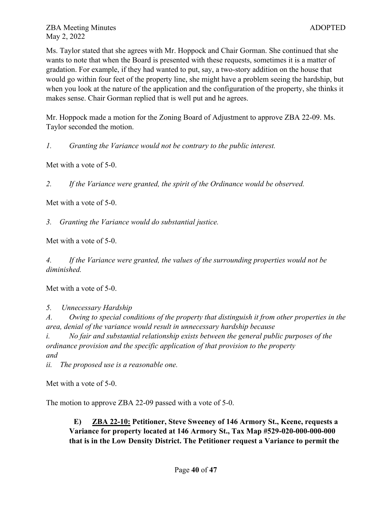Ms. Taylor stated that she agrees with Mr. Hoppock and Chair Gorman. She continued that she wants to note that when the Board is presented with these requests, sometimes it is a matter of gradation. For example, if they had wanted to put, say, a two-story addition on the house that would go within four feet of the property line, she might have a problem seeing the hardship, but when you look at the nature of the application and the configuration of the property, she thinks it makes sense. Chair Gorman replied that is well put and he agrees.

Mr. Hoppock made a motion for the Zoning Board of Adjustment to approve ZBA 22-09. Ms. Taylor seconded the motion.

*1. Granting the Variance would not be contrary to the public interest.*

Met with a vote of 5-0.

*2. If the Variance were granted, the spirit of the Ordinance would be observed.*

Met with a vote of 5-0.

*3. Granting the Variance would do substantial justice.*

Met with a vote of 5-0.

*4. If the Variance were granted, the values of the surrounding properties would not be diminished.*

Met with a vote of 5-0.

*5. Unnecessary Hardship* 

*A. Owing to special conditions of the property that distinguish it from other properties in the area, denial of the variance would result in unnecessary hardship because*

*i. No fair and substantial relationship exists between the general public purposes of the ordinance provision and the specific application of that provision to the property and*

*ii. The proposed use is a reasonable one.*

Met with a vote of 5-0.

The motion to approve ZBA 22-09 passed with a vote of 5-0.

**E) ZBA 22-10: Petitioner, Steve Sweeney of 146 Armory St., Keene, requests a Variance for property located at 146 Armory St., Tax Map #529-020-000-000-000 that is in the Low Density District. The Petitioner request a Variance to permit the**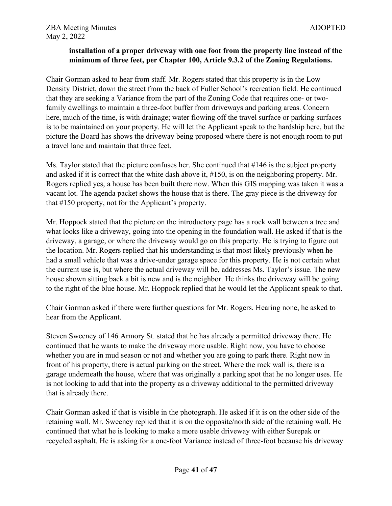## **installation of a proper driveway with one foot from the property line instead of the minimum of three feet, per Chapter 100, Article 9.3.2 of the Zoning Regulations.**

Chair Gorman asked to hear from staff. Mr. Rogers stated that this property is in the Low Density District, down the street from the back of Fuller School's recreation field. He continued that they are seeking a Variance from the part of the Zoning Code that requires one- or twofamily dwellings to maintain a three-foot buffer from driveways and parking areas. Concern here, much of the time, is with drainage; water flowing off the travel surface or parking surfaces is to be maintained on your property. He will let the Applicant speak to the hardship here, but the picture the Board has shows the driveway being proposed where there is not enough room to put a travel lane and maintain that three feet.

Ms. Taylor stated that the picture confuses her. She continued that #146 is the subject property and asked if it is correct that the white dash above it, #150, is on the neighboring property. Mr. Rogers replied yes, a house has been built there now. When this GIS mapping was taken it was a vacant lot. The agenda packet shows the house that is there. The gray piece is the driveway for that #150 property, not for the Applicant's property.

Mr. Hoppock stated that the picture on the introductory page has a rock wall between a tree and what looks like a driveway, going into the opening in the foundation wall. He asked if that is the driveway, a garage, or where the driveway would go on this property. He is trying to figure out the location. Mr. Rogers replied that his understanding is that most likely previously when he had a small vehicle that was a drive-under garage space for this property. He is not certain what the current use is, but where the actual driveway will be, addresses Ms. Taylor's issue. The new house shown sitting back a bit is new and is the neighbor. He thinks the driveway will be going to the right of the blue house. Mr. Hoppock replied that he would let the Applicant speak to that.

Chair Gorman asked if there were further questions for Mr. Rogers. Hearing none, he asked to hear from the Applicant.

Steven Sweeney of 146 Armory St. stated that he has already a permitted driveway there. He continued that he wants to make the driveway more usable. Right now, you have to choose whether you are in mud season or not and whether you are going to park there. Right now in front of his property, there is actual parking on the street. Where the rock wall is, there is a garage underneath the house, where that was originally a parking spot that he no longer uses. He is not looking to add that into the property as a driveway additional to the permitted driveway that is already there.

Chair Gorman asked if that is visible in the photograph. He asked if it is on the other side of the retaining wall. Mr. Sweeney replied that it is on the opposite/north side of the retaining wall. He continued that what he is looking to make a more usable driveway with either Surepak or recycled asphalt. He is asking for a one-foot Variance instead of three-foot because his driveway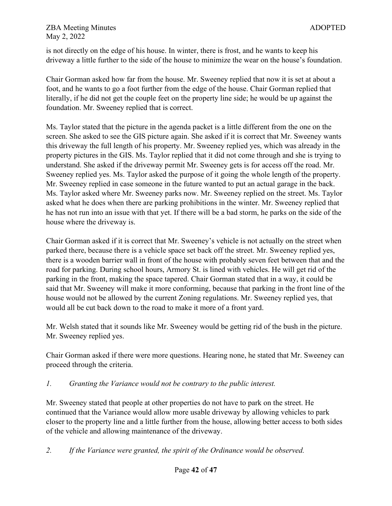is not directly on the edge of his house. In winter, there is frost, and he wants to keep his driveway a little further to the side of the house to minimize the wear on the house's foundation.

Chair Gorman asked how far from the house. Mr. Sweeney replied that now it is set at about a foot, and he wants to go a foot further from the edge of the house. Chair Gorman replied that literally, if he did not get the couple feet on the property line side; he would be up against the foundation. Mr. Sweeney replied that is correct.

Ms. Taylor stated that the picture in the agenda packet is a little different from the one on the screen. She asked to see the GIS picture again. She asked if it is correct that Mr. Sweeney wants this driveway the full length of his property. Mr. Sweeney replied yes, which was already in the property pictures in the GIS. Ms. Taylor replied that it did not come through and she is trying to understand. She asked if the driveway permit Mr. Sweeney gets is for access off the road. Mr. Sweeney replied yes. Ms. Taylor asked the purpose of it going the whole length of the property. Mr. Sweeney replied in case someone in the future wanted to put an actual garage in the back. Ms. Taylor asked where Mr. Sweeney parks now. Mr. Sweeney replied on the street. Ms. Taylor asked what he does when there are parking prohibitions in the winter. Mr. Sweeney replied that he has not run into an issue with that yet. If there will be a bad storm, he parks on the side of the house where the driveway is.

Chair Gorman asked if it is correct that Mr. Sweeney's vehicle is not actually on the street when parked there, because there is a vehicle space set back off the street. Mr. Sweeney replied yes, there is a wooden barrier wall in front of the house with probably seven feet between that and the road for parking. During school hours, Armory St. is lined with vehicles. He will get rid of the parking in the front, making the space tapered. Chair Gorman stated that in a way, it could be said that Mr. Sweeney will make it more conforming, because that parking in the front line of the house would not be allowed by the current Zoning regulations. Mr. Sweeney replied yes, that would all be cut back down to the road to make it more of a front yard.

Mr. Welsh stated that it sounds like Mr. Sweeney would be getting rid of the bush in the picture. Mr. Sweeney replied yes.

Chair Gorman asked if there were more questions. Hearing none, he stated that Mr. Sweeney can proceed through the criteria.

*1. Granting the Variance would not be contrary to the public interest.*

Mr. Sweeney stated that people at other properties do not have to park on the street. He continued that the Variance would allow more usable driveway by allowing vehicles to park closer to the property line and a little further from the house, allowing better access to both sides of the vehicle and allowing maintenance of the driveway.

*2. If the Variance were granted, the spirit of the Ordinance would be observed.*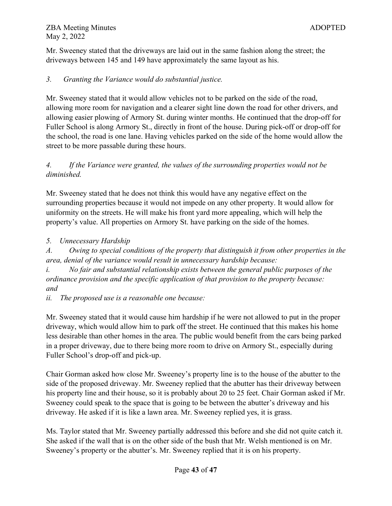Mr. Sweeney stated that the driveways are laid out in the same fashion along the street; the driveways between 145 and 149 have approximately the same layout as his.

## *3. Granting the Variance would do substantial justice.*

Mr. Sweeney stated that it would allow vehicles not to be parked on the side of the road, allowing more room for navigation and a clearer sight line down the road for other drivers, and allowing easier plowing of Armory St. during winter months. He continued that the drop-off for Fuller School is along Armory St., directly in front of the house. During pick-off or drop-off for the school, the road is one lane. Having vehicles parked on the side of the home would allow the street to be more passable during these hours.

# *4. If the Variance were granted, the values of the surrounding properties would not be diminished.*

Mr. Sweeney stated that he does not think this would have any negative effect on the surrounding properties because it would not impede on any other property. It would allow for uniformity on the streets. He will make his front yard more appealing, which will help the property's value. All properties on Armory St. have parking on the side of the homes.

*5. Unnecessary Hardship* 

*A. Owing to special conditions of the property that distinguish it from other properties in the area, denial of the variance would result in unnecessary hardship because:*

*i. No fair and substantial relationship exists between the general public purposes of the ordinance provision and the specific application of that provision to the property because: and*

*ii. The proposed use is a reasonable one because:* 

Mr. Sweeney stated that it would cause him hardship if he were not allowed to put in the proper driveway, which would allow him to park off the street. He continued that this makes his home less desirable than other homes in the area. The public would benefit from the cars being parked in a proper driveway, due to there being more room to drive on Armory St., especially during Fuller School's drop-off and pick-up.

Chair Gorman asked how close Mr. Sweeney's property line is to the house of the abutter to the side of the proposed driveway. Mr. Sweeney replied that the abutter has their driveway between his property line and their house, so it is probably about 20 to 25 feet. Chair Gorman asked if Mr. Sweeney could speak to the space that is going to be between the abutter's driveway and his driveway. He asked if it is like a lawn area. Mr. Sweeney replied yes, it is grass.

Ms. Taylor stated that Mr. Sweeney partially addressed this before and she did not quite catch it. She asked if the wall that is on the other side of the bush that Mr. Welsh mentioned is on Mr. Sweeney's property or the abutter's. Mr. Sweeney replied that it is on his property.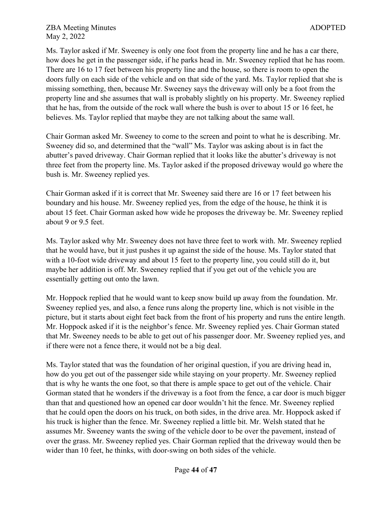Ms. Taylor asked if Mr. Sweeney is only one foot from the property line and he has a car there, how does he get in the passenger side, if he parks head in. Mr. Sweeney replied that he has room. There are 16 to 17 feet between his property line and the house, so there is room to open the doors fully on each side of the vehicle and on that side of the yard. Ms. Taylor replied that she is missing something, then, because Mr. Sweeney says the driveway will only be a foot from the property line and she assumes that wall is probably slightly on his property. Mr. Sweeney replied that he has, from the outside of the rock wall where the bush is over to about 15 or 16 feet, he believes. Ms. Taylor replied that maybe they are not talking about the same wall.

Chair Gorman asked Mr. Sweeney to come to the screen and point to what he is describing. Mr. Sweeney did so, and determined that the "wall" Ms. Taylor was asking about is in fact the abutter's paved driveway. Chair Gorman replied that it looks like the abutter's driveway is not three feet from the property line. Ms. Taylor asked if the proposed driveway would go where the bush is. Mr. Sweeney replied yes.

Chair Gorman asked if it is correct that Mr. Sweeney said there are 16 or 17 feet between his boundary and his house. Mr. Sweeney replied yes, from the edge of the house, he think it is about 15 feet. Chair Gorman asked how wide he proposes the driveway be. Mr. Sweeney replied about 9 or 9.5 feet.

Ms. Taylor asked why Mr. Sweeney does not have three feet to work with. Mr. Sweeney replied that he would have, but it just pushes it up against the side of the house. Ms. Taylor stated that with a 10-foot wide driveway and about 15 feet to the property line, you could still do it, but maybe her addition is off. Mr. Sweeney replied that if you get out of the vehicle you are essentially getting out onto the lawn.

Mr. Hoppock replied that he would want to keep snow build up away from the foundation. Mr. Sweeney replied yes, and also, a fence runs along the property line, which is not visible in the picture, but it starts about eight feet back from the front of his property and runs the entire length. Mr. Hoppock asked if it is the neighbor's fence. Mr. Sweeney replied yes. Chair Gorman stated that Mr. Sweeney needs to be able to get out of his passenger door. Mr. Sweeney replied yes, and if there were not a fence there, it would not be a big deal.

Ms. Taylor stated that was the foundation of her original question, if you are driving head in, how do you get out of the passenger side while staying on your property. Mr. Sweeney replied that is why he wants the one foot, so that there is ample space to get out of the vehicle. Chair Gorman stated that he wonders if the driveway is a foot from the fence, a car door is much bigger than that and questioned how an opened car door wouldn't hit the fence. Mr. Sweeney replied that he could open the doors on his truck, on both sides, in the drive area. Mr. Hoppock asked if his truck is higher than the fence. Mr. Sweeney replied a little bit. Mr. Welsh stated that he assumes Mr. Sweeney wants the swing of the vehicle door to be over the pavement, instead of over the grass. Mr. Sweeney replied yes. Chair Gorman replied that the driveway would then be wider than 10 feet, he thinks, with door-swing on both sides of the vehicle.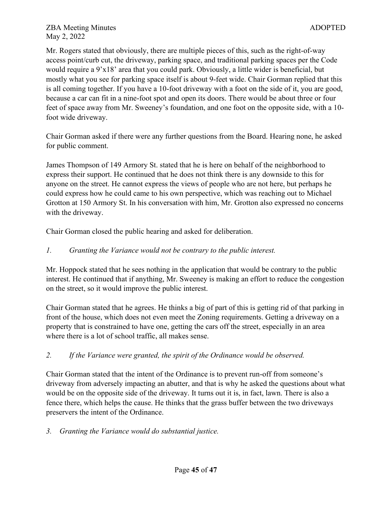Mr. Rogers stated that obviously, there are multiple pieces of this, such as the right-of-way access point/curb cut, the driveway, parking space, and traditional parking spaces per the Code would require a 9'x18' area that you could park. Obviously, a little wider is beneficial, but mostly what you see for parking space itself is about 9-feet wide. Chair Gorman replied that this is all coming together. If you have a 10-foot driveway with a foot on the side of it, you are good, because a car can fit in a nine-foot spot and open its doors. There would be about three or four feet of space away from Mr. Sweeney's foundation, and one foot on the opposite side, with a 10 foot wide driveway.

Chair Gorman asked if there were any further questions from the Board. Hearing none, he asked for public comment.

James Thompson of 149 Armory St. stated that he is here on behalf of the neighborhood to express their support. He continued that he does not think there is any downside to this for anyone on the street. He cannot express the views of people who are not here, but perhaps he could express how he could came to his own perspective, which was reaching out to Michael Grotton at 150 Armory St. In his conversation with him, Mr. Grotton also expressed no concerns with the driveway.

Chair Gorman closed the public hearing and asked for deliberation.

# *1. Granting the Variance would not be contrary to the public interest.*

Mr. Hoppock stated that he sees nothing in the application that would be contrary to the public interest. He continued that if anything, Mr. Sweeney is making an effort to reduce the congestion on the street, so it would improve the public interest.

Chair Gorman stated that he agrees. He thinks a big of part of this is getting rid of that parking in front of the house, which does not even meet the Zoning requirements. Getting a driveway on a property that is constrained to have one, getting the cars off the street, especially in an area where there is a lot of school traffic, all makes sense.

# *2. If the Variance were granted, the spirit of the Ordinance would be observed.*

Chair Gorman stated that the intent of the Ordinance is to prevent run-off from someone's driveway from adversely impacting an abutter, and that is why he asked the questions about what would be on the opposite side of the driveway. It turns out it is, in fact, lawn. There is also a fence there, which helps the cause. He thinks that the grass buffer between the two driveways preservers the intent of the Ordinance.

*3. Granting the Variance would do substantial justice.*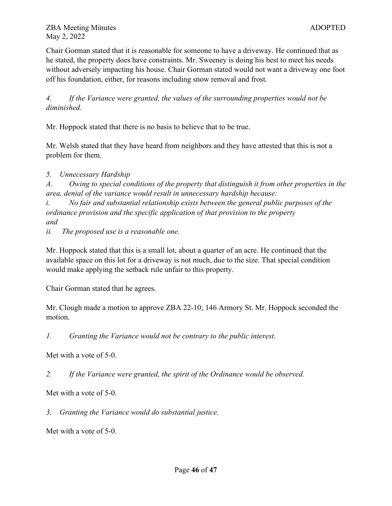Chair Gorman stated that it is reasonable for someone to have a driveway. He continued that as he stated, the property does have constraints. Mr. Sweeney is doing his best to meet his needs without adversely impacting his house. Chair Gorman stated would not want a driveway one foot off his foundation, either, for reasons including snow removal and frost.

*4. If the Variance were granted, the values of the surrounding properties would not be diminished.*

Mr. Hoppock stated that there is no basis to believe that to be true.

Mr. Welsh stated that they have heard from neighbors and they have attested that this is not a problem for them.

*5. Unnecessary Hardship* 

*A. Owing to special conditions of the property that distinguish it from other properties in the area, denial of the variance would result in unnecessary hardship because:*

*i. No fair and substantial relationship exists between the general public purposes of the ordinance provision and the specific application of that provision to the property and*

*ii. The proposed use is a reasonable one.*

Mr. Hoppock stated that this is a small lot, about a quarter of an acre. He continued that the available space on this lot for a driveway is not much, due to the size. That special condition would make applying the setback rule unfair to this property.

Chair Gorman stated that he agrees.

Mr. Clough made a motion to approve ZBA 22-10; 146 Armory St. Mr. Hoppock seconded the motion.

*1. Granting the Variance would not be contrary to the public interest.*

Met with a vote of 5-0.

*2. If the Variance were granted, the spirit of the Ordinance would be observed.*

Met with a vote of 5-0.

*3. Granting the Variance would do substantial justice.*

Met with a vote of 5-0.